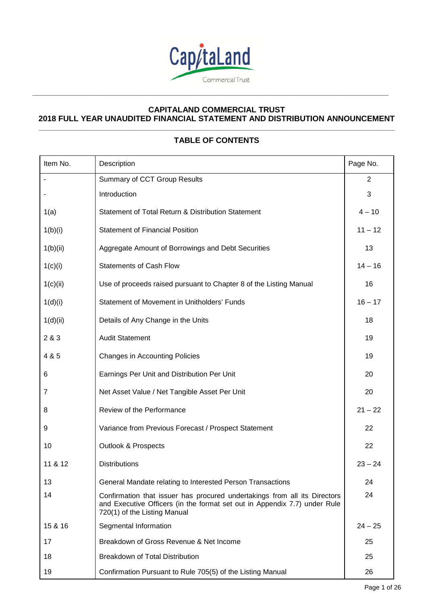

**\_\_\_\_\_\_\_\_\_\_\_\_\_\_\_\_\_\_\_\_\_\_\_\_\_\_\_\_\_\_\_\_\_\_\_\_\_\_\_\_\_\_\_\_\_\_\_\_\_\_\_\_\_\_\_\_\_\_\_\_\_\_\_\_\_\_\_\_\_\_\_\_\_\_\_\_\_\_\_\_\_** 

### **CAPITALAND COMMERCIAL TRUST 2018 FULL YEAR UNAUDITED FINANCIAL STATEMENT AND DISTRIBUTION ANNOUNCEMENT \_\_\_\_\_\_\_\_\_\_\_\_\_\_\_\_\_\_\_\_\_\_\_\_\_\_\_\_\_\_\_\_\_\_\_\_\_\_\_\_\_\_\_\_\_\_\_\_\_\_\_\_\_\_\_\_\_\_\_\_\_\_\_\_\_\_\_\_\_\_\_\_\_\_\_\_\_\_\_\_\_\_\_\_\_\_\_\_\_**

# **TABLE OF CONTENTS**

| Item No. | Description                                                                                                                                                                            | Page No.       |
|----------|----------------------------------------------------------------------------------------------------------------------------------------------------------------------------------------|----------------|
|          | Summary of CCT Group Results                                                                                                                                                           | $\overline{2}$ |
|          | Introduction                                                                                                                                                                           | 3              |
| 1(a)     | Statement of Total Return & Distribution Statement                                                                                                                                     | $4 - 10$       |
| 1(b)(i)  | <b>Statement of Financial Position</b>                                                                                                                                                 | $11 - 12$      |
| 1(b)(ii) | Aggregate Amount of Borrowings and Debt Securities                                                                                                                                     | 13             |
| 1(c)(i)  | <b>Statements of Cash Flow</b>                                                                                                                                                         | $14 - 16$      |
| 1(c)(ii) | Use of proceeds raised pursuant to Chapter 8 of the Listing Manual                                                                                                                     | 16             |
| 1(d)(i)  | Statement of Movement in Unitholders' Funds                                                                                                                                            | $16 - 17$      |
| 1(d)(ii) | Details of Any Change in the Units                                                                                                                                                     | 18             |
| 2 & 3    | <b>Audit Statement</b>                                                                                                                                                                 | 19             |
| 4 & 5    | <b>Changes in Accounting Policies</b>                                                                                                                                                  | 19             |
| 6        | Earnings Per Unit and Distribution Per Unit                                                                                                                                            | 20             |
| 7        | Net Asset Value / Net Tangible Asset Per Unit                                                                                                                                          | 20             |
| 8        | Review of the Performance                                                                                                                                                              | $21 - 22$      |
| 9        | Variance from Previous Forecast / Prospect Statement                                                                                                                                   | 22             |
| 10       | <b>Outlook &amp; Prospects</b>                                                                                                                                                         | 22             |
| 11 & 12  | <b>Distributions</b>                                                                                                                                                                   | $23 - 24$      |
| 13       | General Mandate relating to Interested Person Transactions                                                                                                                             | 24             |
| 14       | Confirmation that issuer has procured undertakings from all its Directors<br>and Executive Officers (in the format set out in Appendix 7.7) under Rule<br>720(1) of the Listing Manual | 24             |
| 15 & 16  | Segmental Information                                                                                                                                                                  | $24 - 25$      |
| 17       | Breakdown of Gross Revenue & Net Income                                                                                                                                                | 25             |
| 18       | Breakdown of Total Distribution                                                                                                                                                        | 25             |
| 19       | Confirmation Pursuant to Rule 705(5) of the Listing Manual                                                                                                                             | 26             |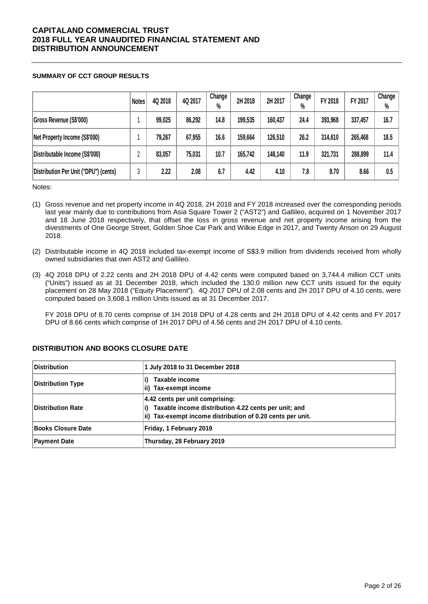### **SUMMARY OF CCT GROUP RESULTS**

|                                       | <b>Notes</b> | 4Q 2018 | 4Q 2017 | Change<br>$\%$ | 2H 2018 | 2H 2017 | Change<br>$\%$ | FY 2018 | FY 2017 | Change<br>$\%$ |
|---------------------------------------|--------------|---------|---------|----------------|---------|---------|----------------|---------|---------|----------------|
| Gross Revenue (S\$'000)               |              | 99,025  | 86,292  | 14.8           | 199,535 | 160,437 | 24.4           | 393,968 | 337,457 | 16.7           |
| Net Property Income (S\$'000)         |              | 79,267  | 67,955  | 16.6           | 159,664 | 126,510 | 26.2           | 314,610 | 265,468 | 18.5           |
| Distributable Income (S\$'000)        | η            | 83,057  | 75,031  | 10.7           | 165,742 | 148,140 | 11.9           | 321,731 | 288,899 | 11.4           |
| Distribution Per Unit ("DPU") (cents) | 3            | 2.22    | 2.08    | 6.7            | 4.42    | 4.10    | 7.8            | 8.70    | 8.66    | 0.5            |

Notes:

- (1) Gross revenue and net property income in 4Q 2018, 2H 2018 and FY 2018 increased over the corresponding periods last year mainly due to contributions from Asia Square Tower 2 ("AST2") and Gallileo, acquired on 1 November 2017 and 18 June 2018 respectively, that offset the loss in gross revenue and net property income arising from the divestments of One George Street, Golden Shoe Car Park and Wilkie Edge in 2017, and Twenty Anson on 29 August 2018.
- (2) Distributable income in 4Q 2018 included tax-exempt income of S\$3.9 million from dividends received from wholly owned subsidiaries that own AST2 and Gallileo.
- (3) 4Q 2018 DPU of 2.22 cents and 2H 2018 DPU of 4.42 cents were computed based on 3,744.4 million CCT units ("Units") issued as at 31 December 2018, which included the 130.0 million new CCT units issued for the equity placement on 28 May 2018 ("Equity Placement"). 4Q 2017 DPU of 2.08 cents and 2H 2017 DPU of 4.10 cents, were computed based on 3,608.1 million Units issued as at 31 December 2017.

FY 2018 DPU of 8.70 cents comprise of 1H 2018 DPU of 4.28 cents and 2H 2018 DPU of 4.42 cents and FY 2017 DPU of 8.66 cents which comprise of 1H 2017 DPU of 4.56 cents and 2H 2017 DPU of 4.10 cents.

| <b>Distribution</b>       | 1 July 2018 to 31 December 2018                                                                                                                       |
|---------------------------|-------------------------------------------------------------------------------------------------------------------------------------------------------|
| <b>Distribution Type</b>  | Taxable income<br>ii) Tax-exempt income                                                                                                               |
| Distribution Rate         | 4.42 cents per unit comprising:<br>Taxable income distribution 4.22 cents per unit; and<br>ii) Tax-exempt income distribution of 0.20 cents per unit. |
| <b>Books Closure Date</b> | Friday, 1 February 2019                                                                                                                               |
| Payment Date              | Thursday, 28 February 2019                                                                                                                            |

### **DISTRIBUTION AND BOOKS CLOSURE DATE**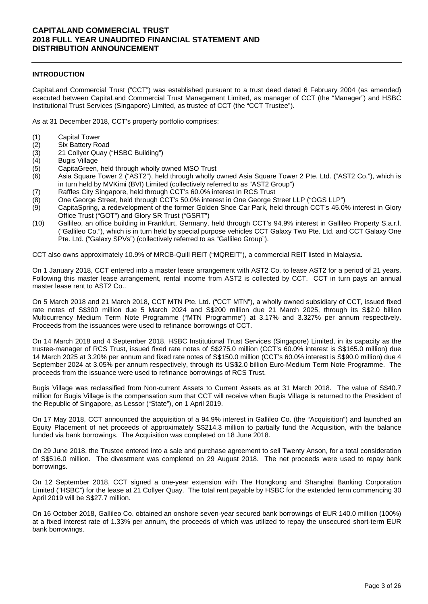### **INTRODUCTION**

CapitaLand Commercial Trust ("CCT") was established pursuant to a trust deed dated 6 February 2004 (as amended) executed between CapitaLand Commercial Trust Management Limited, as manager of CCT (the "Manager") and HSBC Institutional Trust Services (Singapore) Limited, as trustee of CCT (the "CCT Trustee").

As at 31 December 2018, CCT's property portfolio comprises:

- (1) Capital Tower
- (2) Six Battery Road
- (3) 21 Collyer Quay ("HSBC Building")
- (4) Bugis Village
- (5) CapitaGreen, held through wholly owned MSO Trust
- (6) Asia Square Tower 2 ("AST2"), held through wholly owned Asia Square Tower 2 Pte. Ltd. ("AST2 Co."), which is in turn held by MVKimi (BVI) Limited (collectively referred to as "AST2 Group")
- (7) Raffles City Singapore, held through CCT's 60.0% interest in RCS Trust
- (8) One George Street, held through CCT's 50.0% interest in One George Street LLP ("OGS LLP")
- (9) CapitaSpring, a redevelopment of the former Golden Shoe Car Park, held through CCT's 45.0% interest in Glory Office Trust ("GOT") and Glory SR Trust ("GSRT")
- (10) Gallileo, an office building in Frankfurt, Germany, held through CCT's 94.9% interest in Gallileo Property S.a.r.l. ("Gallileo Co."), which is in turn held by special purpose vehicles CCT Galaxy Two Pte. Ltd. and CCT Galaxy One Pte. Ltd. ("Galaxy SPVs") (collectively referred to as "Gallileo Group").

CCT also owns approximately 10.9% of MRCB-Quill REIT ("MQREIT"), a commercial REIT listed in Malaysia.

On 1 January 2018, CCT entered into a master lease arrangement with AST2 Co. to lease AST2 for a period of 21 years. Following this master lease arrangement, rental income from AST2 is collected by CCT. CCT in turn pays an annual master lease rent to AST2 Co..

On 5 March 2018 and 21 March 2018, CCT MTN Pte. Ltd. ("CCT MTN"), a wholly owned subsidiary of CCT, issued fixed rate notes of S\$300 million due 5 March 2024 and S\$200 million due 21 March 2025, through its S\$2.0 billion Multicurrency Medium Term Note Programme ("MTN Programme") at 3.17% and 3.327% per annum respectively. Proceeds from the issuances were used to refinance borrowings of CCT.

On 14 March 2018 and 4 September 2018, HSBC Institutional Trust Services (Singapore) Limited, in its capacity as the trustee-manager of RCS Trust, issued fixed rate notes of S\$275.0 million (CCT's 60.0% interest is S\$165.0 million) due 14 March 2025 at 3.20% per annum and fixed rate notes of S\$150.0 million (CCT's 60.0% interest is S\$90.0 million) due 4 September 2024 at 3.05% per annum respectively, through its US\$2.0 billion Euro-Medium Term Note Programme. The proceeds from the issuance were used to refinance borrowings of RCS Trust.

Bugis Village was reclassified from Non-current Assets to Current Assets as at 31 March 2018. The value of S\$40.7 million for Bugis Village is the compensation sum that CCT will receive when Bugis Village is returned to the President of the Republic of Singapore, as Lessor ("State"), on 1 April 2019.

On 17 May 2018, CCT announced the acquisition of a 94.9% interest in Gallileo Co. (the "Acquisition") and launched an Equity Placement of net proceeds of approximately S\$214.3 million to partially fund the Acquisition, with the balance funded via bank borrowings. The Acquisition was completed on 18 June 2018.

On 29 June 2018, the Trustee entered into a sale and purchase agreement to sell Twenty Anson, for a total consideration of S\$516.0 million. The divestment was completed on 29 August 2018. The net proceeds were used to repay bank borrowings.

On 12 September 2018, CCT signed a one-year extension with The Hongkong and Shanghai Banking Corporation Limited ("HSBC") for the lease at 21 Collyer Quay. The total rent payable by HSBC for the extended term commencing 30 April 2019 will be S\$27.7 million.

On 16 October 2018, Gallileo Co. obtained an onshore seven-year secured bank borrowings of EUR 140.0 million (100%) at a fixed interest rate of 1.33% per annum, the proceeds of which was utilized to repay the unsecured short-term EUR bank borrowings.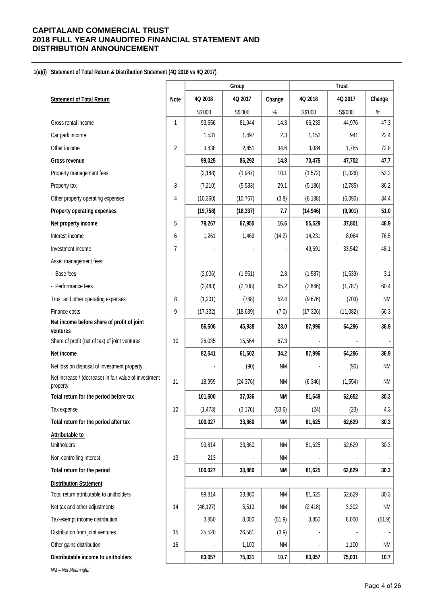#### **1(a)(i) Statement of Total Return & Distribution Statement (4Q 2018 vs 4Q 2017)**

|                                                                   |                |           | Group     |           |           | <b>Trust</b> |           |
|-------------------------------------------------------------------|----------------|-----------|-----------|-----------|-----------|--------------|-----------|
| <b>Statement of Total Return</b>                                  | Note           | 4Q 2018   | 4Q 2017   | Change    | 4Q 2018   | 4Q 2017      | Change    |
|                                                                   |                | S\$'000   | S\$'000   | $\%$      | S\$'000   | S\$'000      | $\%$      |
| Gross rental income                                               | 1              | 93,656    | 81,944    | 14.3      | 66,239    | 44,976       | 47.3      |
| Car park income                                                   |                | 1,531     | 1,497     | 2.3       | 1,152     | 941          | 22.4      |
| Other income                                                      | $\overline{2}$ | 3,838     | 2,851     | 34.6      | 3,084     | 1,785        | 72.8      |
| <b>Gross revenue</b>                                              |                | 99,025    | 86,292    | 14.8      | 70,475    | 47,702       | 47.7      |
| Property management fees                                          |                | (2, 188)  | (1,987)   | 10.1      | (1, 572)  | (1,026)      | 53.2      |
| Property tax                                                      | 3              | (7, 210)  | (5, 583)  | 29.1      | (5, 186)  | (2,785)      | 86.2      |
| Other property operating expenses                                 | 4              | (10, 360) | (10, 767) | (3.8)     | (8, 188)  | (6,090)      | 34.4      |
| Property operating expenses                                       |                | (19, 758) | (18, 337) | 7.7       | (14, 946) | (9,901)      | 51.0      |
| Net property income                                               | 5              | 79,267    | 67,955    | 16.6      | 55,529    | 37,801       | 46.9      |
| Interest income                                                   | 6              | 1,261     | 1,469     | (14.2)    | 14,231    | 8,064        | 76.5      |
| Investment income                                                 | $\overline{7}$ |           |           |           | 49,691    | 33,542       | 48.1      |
| Asset management fees:                                            |                |           |           |           |           |              |           |
| - Base fees                                                       |                | (2,006)   | (1,951)   | 2.8       | (1,587)   | (1, 539)     | 3.1       |
| - Performance fees                                                |                | (3, 483)  | (2, 108)  | 65.2      | (2,866)   | (1,787)      | 60.4      |
| Trust and other operating expenses                                | 8              | (1,201)   | (788)     | 52.4      | (9,676)   | (703)        | <b>NM</b> |
| Finance costs                                                     | 9              | (17, 332) | (18, 639) | (7.0)     | (17, 326) | (11,082)     | 56.3      |
| Net income before share of profit of joint<br>ventures            |                | 56,506    | 45,938    | 23.0      | 87,996    | 64,296       | 36.9      |
| Share of profit (net of tax) of joint ventures                    | 10             | 26,035    | 15,564    | 67.3      |           |              |           |
| Net income                                                        |                | 82,541    | 61,502    | 34.2      | 87,996    | 64,296       | 36.9      |
| Net loss on disposal of investment property                       |                |           | (90)      | <b>NM</b> |           | (90)         | <b>NM</b> |
| Net increase / (decrease) in fair value of investment<br>property | 11             | 18,959    | (24, 376) | <b>NM</b> | (6, 346)  | (1, 554)     | <b>NM</b> |
| Total return for the period before tax                            |                | 101,500   | 37,036    | <b>NM</b> | 81,649    | 62,652       | 30.3      |
| Tax expense                                                       | 12             | (1, 473)  | (3, 176)  | (53.6)    | (24)      | (23)         | 4.3       |
| Total return for the period after tax                             |                | 100,027   | 33,860    | <b>NM</b> | 81,625    | 62,629       | 30.3      |
| <b>Attributable to</b>                                            |                |           |           |           |           |              |           |
| Unitholders                                                       |                | 99,814    | 33,860    | <b>NM</b> | 81,625    | 62,629       | 30.3      |
| Non-controlling interest                                          | 13             | 213       |           | <b>NM</b> |           |              |           |
| Total return for the period                                       |                | 100,027   | 33,860    | <b>NM</b> | 81,625    | 62,629       | 30.3      |
| <b>Distribution Statement</b>                                     |                |           |           |           |           |              |           |
| Total return attributable to unitholders                          |                | 99,814    | 33,860    | <b>NM</b> | 81,625    | 62,629       | 30.3      |
| Net tax and other adjustments                                     | 14             | (46, 127) | 5,510     | <b>NM</b> | (2, 418)  | 3,302        | NM        |
| Tax-exempt income distribution                                    |                | 3,850     | 8,000     | (51.9)    | 3,850     | 8,000        | (51.9)    |
| Distribution from joint ventures                                  | 15             | 25,520    | 26,561    | (3.9)     |           |              |           |
| Other gains distribution                                          | 16             |           | 1,100     | <b>NM</b> |           | 1,100        | <b>NM</b> |
| Distributable income to unitholders                               |                | 83,057    | 75,031    | 10.7      | 83,057    | 75,031       | 10.7      |

*NM – Not Meaningful*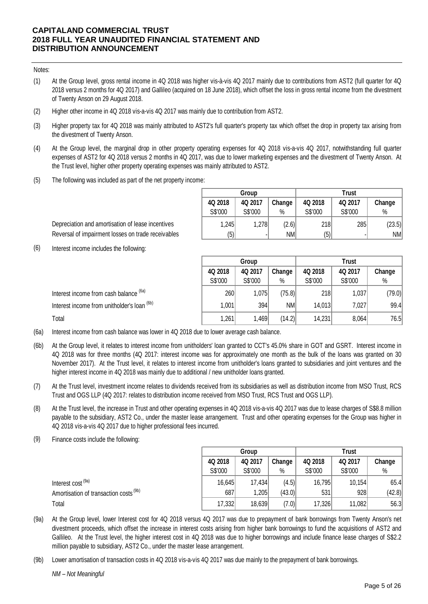#### Notes:

- (1) At the Group level, gross rental income in 4Q 2018 was higher vis-à-vis 4Q 2017 mainly due to contributions from AST2 (full quarter for 4Q 2018 versus 2 months for 4Q 2017) and Gallileo (acquired on 18 June 2018), which offset the loss in gross rental income from the divestment of Twenty Anson on 29 August 2018.
- (2) Higher other income in 4Q 2018 vis-a-vis 4Q 2017 was mainly due to contribution from AST2.
- (3) Higher property tax for 4Q 2018 was mainly attributed to AST2's full quarter's property tax which offset the drop in property tax arising from the divestment of Twenty Anson.
- (4) At the Group level, the marginal drop in other property operating expenses for 4Q 2018 vis-a-vis 4Q 2017, notwithstanding full quarter expenses of AST2 for 4Q 2018 versus 2 months in 4Q 2017, was due to lower marketing expenses and the divestment of Twenty Anson. At the Trust level, higher other property operating expenses was mainly attributed to AST2.
- (5) The following was included as part of the net property income:

|         | Group   |        | Trust   |         |        |  |  |  |
|---------|---------|--------|---------|---------|--------|--|--|--|
| 4Q 2018 | 4Q 2017 | Change | 4Q 2018 | 4Q 2017 | Change |  |  |  |
| S\$'000 | S\$'000 | %      | S\$'000 | S\$'000 | %      |  |  |  |
| 1,245   | 1,278   | (2.6)  | 218     | 285     | (23.5) |  |  |  |
| (5)     | ۰       | NM     | (5)     |         | NM     |  |  |  |

Depreciation and amortisation of lease incentives Reversal of impairment losses on trade receivables

(6) Interest income includes the following:

|                                             | Group   |         |           | <b>Trust</b> |         |        |  |
|---------------------------------------------|---------|---------|-----------|--------------|---------|--------|--|
|                                             | 4Q 2018 | 4Q 2017 | Change    | 4Q 2018      | 4Q 2017 | Change |  |
|                                             | S\$'000 | S\$'000 | $\%$      | S\$'000      | S\$'000 | %      |  |
| Interest income from cash balance (6a)      | 260     | 1,075   | (75.8)    | 218          | 1,037   | (79.0) |  |
| Interest income from unitholder's loan (6b) | 1,001   | 394     | <b>NM</b> | 14,013       | 7,027   | 99.4   |  |
| Total                                       | 1,261   | 1,469   | (14.2)    | 14,231       | 8,064   | 76.5   |  |

- (6a) Interest income from cash balance was lower in 4Q 2018 due to lower average cash balance.
- (6b) At the Group level, it relates to interest income from unitholders' loan granted to CCT's 45.0% share in GOT and GSRT. Interest income in 4Q 2018 was for three months (4Q 2017: interest income was for approximately one month as the bulk of the loans was granted on 30 November 2017). At the Trust level, it relates to interest income from unitholder's loans granted to subsidiaries and joint ventures and the higher interest income in 4Q 2018 was mainly due to additional / new unitholder loans granted.
- (7) At the Trust level, investment income relates to dividends received from its subsidiaries as well as distribution income from MSO Trust, RCS Trust and OGS LLP (4Q 2017: relates to distribution income received from MSO Trust, RCS Trust and OGS LLP).
- (8) At the Trust level, the increase in Trust and other operating expenses in 4Q 2018 vis-a-vis 4Q 2017 was due to lease charges of S\$8.8 million payable to the subsidiary, AST2 Co., under the master lease arrangement. Trust and other operating expenses for the Group was higher in 4Q 2018 vis-a-vis 4Q 2017 due to higher professional fees incurred.
- (9) Finance costs include the following:

|                                                   | <b>Trust</b><br>Group |         |        |         |         |        |
|---------------------------------------------------|-----------------------|---------|--------|---------|---------|--------|
|                                                   | 4Q 2018               | 4Q 2017 | Change | 4Q 2018 | 4Q 2017 | Change |
|                                                   | S\$'000               | S\$'000 | $\%$   | S\$'000 | S\$'000 | $\%$   |
| Interest cost <sup>(9a)</sup>                     | 16,645                | 17,434  | (4.5)  | 16,795  | 10,154  | 65.4   |
| Amortisation of transaction costs <sup>(9b)</sup> | 687                   | ,205    | (43.0) | 531     | 928     | (42.8) |
| Total                                             | 17,332                | 18,639  | (7.0)  | 17,326  | 11,082  | 56.3   |

- (9a) At the Group level, lower Interest cost for 4Q 2018 versus 4Q 2017 was due to prepayment of bank borrowings from Twenty Anson's net divestment proceeds, which offset the increase in interest costs arising from higher bank borrowings to fund the acquisitions of AST2 and Gallileo. At the Trust level, the higher interest cost in 4Q 2018 was due to higher borrowings and include finance lease charges of S\$2.2 million payable to subsidiary, AST2 Co., under the master lease arrangement.
- (9b) Lower amortisation of transaction costs in 4Q 2018 vis-a-vis 4Q 2017 was due mainly to the prepayment of bank borrowings.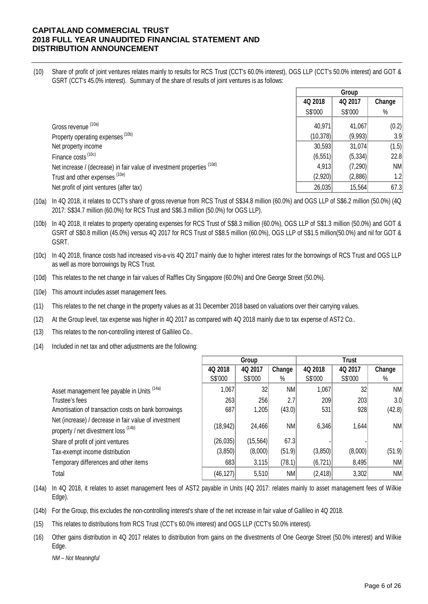(10) Share of profit of joint ventures relates mainly to results for RCS Trust (CCT's 60.0% interest), OGS LLP (CCT's 50.0% interest) and GOT & GSRT (CCT's 45.0% interest). Summary of the share of results of joint ventures is as follows:

|                                                                        |           | Group   |        |
|------------------------------------------------------------------------|-----------|---------|--------|
|                                                                        | 4Q 2018   | 4Q 2017 | Change |
|                                                                        | S\$'000   | S\$'000 | $\%$   |
| Gross revenue (10a)                                                    | 40,971    | 41,067  | (0.2)  |
| Property operating expenses (10b)                                      | (10, 378) | (9,993) | 3.9    |
| Net property income                                                    | 30,593    | 31,074  | (1.5)  |
| Finance costs <sup>(10c)</sup>                                         | (6, 551)  | (5,334) | 22.8   |
| Net increase / (decrease) in fair value of investment properties (10d) | 4,913     | (7,290) | NM     |
| Trust and other expenses (10e)                                         | (2,920)   | (2,886) | 1.2    |
| Net profit of joint ventures (after tax)                               | 26,035    | 15,564  | 67.3   |

- (10a) In 4Q 2018, it relates to CCT's share of gross revenue from RCS Trust of S\$34.8 million (60.0%) and OGS LLP of S\$6.2 million (50.0%) (4Q 2017: S\$34.7 million (60.0%) for RCS Trust and S\$6.3 million (50.0%) for OGS LLP).
- (10b) In 4Q 2018, it relates to property operating expenses for RCS Trust of S\$8.3 million (60.0%), OGS LLP of S\$1.3 million (50.0%) and GOT & GSRT of S\$0.8 million (45.0%) versus 4Q 2017 for RCS Trust of S\$8.5 million (60.0%), OGS LLP of S\$1.5 million(50.0%) and nil for GOT & GSRT.
- (10c) In 4Q 2018, finance costs had increased vis-a-vis 4Q 2017 mainly due to higher interest rates for the borrowings of RCS Trust and OGS LLP as well as more borrowings by RCS Trust.
- (10d) This relates to the net change in fair values of Raffles City Singapore (60.0%) and One George Street (50.0%).
- (10e) This amount includes asset management fees.
- (11) This relates to the net change in the property values as at 31 December 2018 based on valuations over their carrying values.
- (12) At the Group level, tax expense was higher in 4Q 2017 as compared with 4Q 2018 mainly due to tax expense of AST2 Co..
- (13) This relates to the non-controlling interest of Gallileo Co..
- (14) Included in net tax and other adjustments are the following:

|                                                                                               |           | Group           |        |          | I rust  |           |
|-----------------------------------------------------------------------------------------------|-----------|-----------------|--------|----------|---------|-----------|
|                                                                                               | 4Q 2018   | 4Q 2017         | Change | 4Q 2018  | 4Q 2017 | Change    |
|                                                                                               | S\$'000   | S\$'000         | $\%$   | S\$'000  | S\$'000 | %         |
| Asset management fee payable in Units (14a)                                                   | 1,067     | 32 <sub>2</sub> | NM     | 1,067    | 32      | NM        |
| Trustee's fees                                                                                | 263       | 256             | 2.7    | 209      | 203     | 3.0       |
| Amortisation of transaction costs on bank borrowings                                          | 687       | 1,205           | (43.0) | 531      | 928     | (42.8)    |
| Net (increase) / decrease in fair value of investment<br>property / net divestment loss (14b) | (18, 942) | 24,466          | NM     | 6,346    | 1,644   | NM        |
| Share of profit of joint ventures                                                             | (26, 035) | (15, 564)       | 67.3   |          |         |           |
| Tax-exempt income distribution                                                                | (3,850)   | (8,000)         | (51.9) | (3,850)  | (8,000) | (51.9)    |
| Temporary differences and other items                                                         | 683       | 3,115           | (78.1) | (6, 721) | 8,495   | <b>NM</b> |
| Total                                                                                         | (46, 127) | 5,510           | NM     | (2, 418) | 3,302   | <b>NM</b> |

(14a) In 4Q 2018, it relates to asset management fees of AST2 payable in Units (4Q 2017: relates mainly to asset management fees of Wilkie Edge).

- (14b) For the Group, this excludes the non-controlling interest's share of the net increase in fair value of Gallileo in 4Q 2018.
- (15) This relates to distributions from RCS Trust (CCT's 60.0% interest) and OGS LLP (CCT's 50.0% interest).
- (16) Other gains distribution in 4Q 2017 relates to distribution from gains on the divestments of One George Street (50.0% interest) and Wilkie Edge.

*NM – Not Meaningful*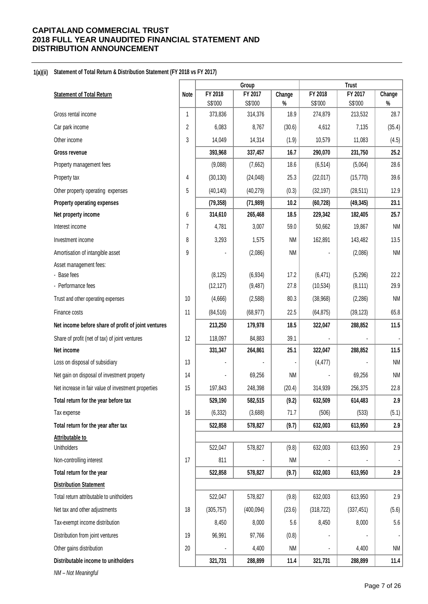#### **1(a)(ii) Statement of Total Return & Distribution Statement (FY 2018 vs FY 2017)**

|                                                     |                |                    | Group              |              |                    | <b>Trust</b>       |              |
|-----------------------------------------------------|----------------|--------------------|--------------------|--------------|--------------------|--------------------|--------------|
| <b>Statement of Total Return</b>                    | Note           | FY 2018<br>S\$'000 | FY 2017<br>S\$'000 | Change       | FY 2018<br>S\$'000 | FY 2017<br>S\$'000 | Change       |
| Gross rental income                                 | $\mathbf{1}$   | 373,836            | 314,376            | $\%$<br>18.9 | 274,879            | 213,532            | $\%$<br>28.7 |
| Car park income                                     | $\overline{2}$ | 6,083              | 8,767              | (30.6)       | 4,612              | 7,135              | (35.4)       |
| Other income                                        | 3              | 14,049             | 14,314             | (1.9)        | 10,579             | 11,083             | (4.5)        |
| <b>Gross revenue</b>                                |                | 393,968            | 337,457            | 16.7         | 290,070            | 231,750            | 25.2         |
| Property management fees                            |                | (9,088)            | (7,662)            | 18.6         | (6, 514)           | (5,064)            | 28.6         |
| Property tax                                        | 4              | (30, 130)          | (24, 048)          | 25.3         | (22, 017)          | (15, 770)          | 39.6         |
| Other property operating expenses                   | 5              | (40, 140)          | (40, 279)          | (0.3)        | (32, 197)          | (28, 511)          | 12.9         |
| Property operating expenses                         |                | (79, 358)          | (71, 989)          | 10.2         | (60, 728)          | (49, 345)          | 23.1         |
| Net property income                                 | 6              | 314,610            | 265,468            | 18.5         | 229,342            | 182,405            | 25.7         |
| Interest income                                     | $\overline{7}$ | 4,781              | 3,007              | 59.0         | 50,662             | 19,867             | <b>NM</b>    |
| Investment income                                   | 8              | 3,293              | 1,575              | <b>NM</b>    | 162,891            | 143,482            | 13.5         |
| Amortisation of intangible asset                    | 9              |                    | (2,086)            | NM           |                    | (2,086)            | <b>NM</b>    |
| Asset management fees:                              |                |                    |                    |              |                    |                    |              |
| - Base fees                                         |                | (8, 125)           | (6, 934)           | 17.2         | (6, 471)           | (5,296)            | 22.2         |
| - Performance fees                                  |                | (12, 127)          | (9, 487)           | 27.8         | (10, 534)          | (8, 111)           | 29.9         |
| Trust and other operating expenses                  | 10             | (4,666)            | (2, 588)           | 80.3         | (38,968)           | (2, 286)           | <b>NM</b>    |
| Finance costs                                       | 11             | (84, 516)          | (68, 977)          | 22.5         | (64, 875)          | (39, 123)          | 65.8         |
| Net income before share of profit of joint ventures |                | 213,250            | 179,978            | 18.5         | 322,047            | 288,852            | 11.5         |
| Share of profit (net of tax) of joint ventures      | 12             | 118,097            | 84,883             | 39.1         |                    |                    |              |
| Net income                                          |                | 331,347            | 264,861            | 25.1         | 322,047            | 288,852            | 11.5         |
| Loss on disposal of subsidiary                      | 13             |                    |                    |              | (4, 477)           |                    | <b>NM</b>    |
| Net gain on disposal of investment property         | 14             |                    | 69,256             | <b>NM</b>    |                    | 69,256             | <b>NM</b>    |
| Net increase in fair value of investment properties | 15             | 197,843            | 248,398            | (20.4)       | 314,939            | 256,375            | 22.8         |
| Total return for the year before tax                |                | 529,190            | 582,515            | (9.2)        | 632,509            | 614,483            | 2.9          |
| Tax expense                                         | 16             | (6, 332)           | (3,688)            | 71.7         | (506)              | (533)              | (5.1)        |
| Total return for the year after tax                 |                | 522,858            | 578,827            | (9.7)        | 632,003            | 613,950            | 2.9          |
| Attributable to                                     |                |                    |                    |              |                    |                    |              |
| <b>Unitholders</b>                                  |                | 522,047            | 578,827            | (9.8)        | 632,003            | 613,950            | 2.9          |
| Non-controlling interest                            | 17             | 811                |                    | <b>NM</b>    |                    |                    |              |
| Total return for the year                           |                | 522,858            | 578,827            | (9.7)        | 632,003            | 613,950            | 2.9          |
| <b>Distribution Statement</b>                       |                |                    |                    |              |                    |                    |              |
| Total return attributable to unitholders            |                | 522,047            | 578,827            | (9.8)        | 632,003            | 613,950            | 2.9          |
| Net tax and other adjustments                       | 18             | (305, 757)         | (400, 094)         | (23.6)       | (318, 722)         | (337, 451)         | (5.6)        |
| Tax-exempt income distribution                      |                | 8,450              | 8,000              | 5.6          | 8,450              | 8,000              | 5.6          |
| Distribution from joint ventures                    | 19             | 96,991             | 97,766             | (0.8)        |                    |                    |              |
| Other gains distribution                            | 20             |                    | 4,400              | <b>NM</b>    |                    | 4,400              | <b>NM</b>    |
| Distributable income to unitholders                 |                | 321,731            | 288,899            | 11.4         | 321,731            | 288,899            | 11.4         |
| NM - Not Meaningful                                 |                |                    |                    |              |                    |                    |              |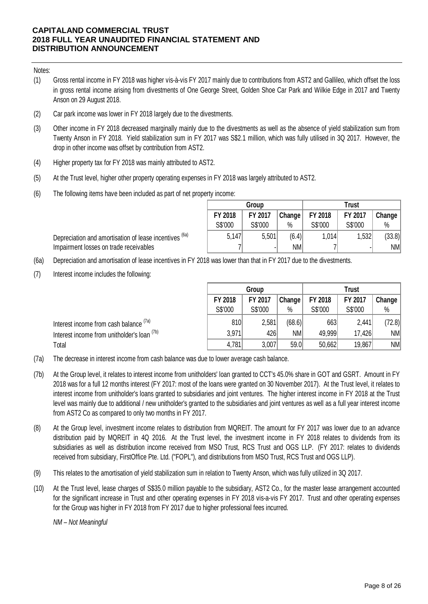### Notes:

- (1) Gross rental income in FY 2018 was higher vis-à-vis FY 2017 mainly due to contributions from AST2 and Gallileo, which offset the loss in gross rental income arising from divestments of One George Street, Golden Shoe Car Park and Wilkie Edge in 2017 and Twenty Anson on 29 August 2018.
- (2) Car park income was lower in FY 2018 largely due to the divestments.
- (3) Other income in FY 2018 decreased marginally mainly due to the divestments as well as the absence of yield stabilization sum from Twenty Anson in FY 2018. Yield stabilization sum in FY 2017 was S\$2.1 million, which was fully utilised in 3Q 2017. However, the drop in other income was offset by contribution from AST2.
- (4) Higher property tax for FY 2018 was mainly attributed to AST2.
- (5) At the Trust level, higher other property operating expenses in FY 2018 was largely attributed to AST2.
- (6) The following items have been included as part of net property income:

Depreciation and amortisation of lease incentives (6a) Impairment losses on trade receivables

|         | Group          |            | Trust   |         |        |  |  |
|---------|----------------|------------|---------|---------|--------|--|--|
| FY 2018 | FY 2017        | , Change ' | FY 2018 | FY 2017 | Change |  |  |
| S\$'000 | S\$'000        | %          | S\$'000 | S\$'000 | %      |  |  |
| 5,147   | 5,501          | (6.4)      | 1,014   | 1,532   | (33.8) |  |  |
|         | $\blacksquare$ | <b>NM</b>  |         |         | NM     |  |  |

(6a) Depreciation and amortisation of lease incentives in FY 2018 was lower than that in FY 2017 due to the divestments.

(7) Interest income includes the following:

|                                                   |         | Group   |        |         | <b>Trust</b> |        |
|---------------------------------------------------|---------|---------|--------|---------|--------------|--------|
|                                                   | FY 2018 | FY 2017 | Change | FY 2018 | FY 2017      | Change |
|                                                   | S\$'000 | S\$'000 | $\%$   | S\$'000 | S\$'000      | %      |
| Interest income from cash balance <sup>(7a)</sup> | 810     | 2,581   | (68.6) | 663     | 2,441        | (72.8) |
| Interest income from unitholder's loan (7b)       | 3,971   | 426     | ΝM     | 49,999  | 17,426       | NM     |
| Total                                             | 4,781   | 3,007   | 59.0   | 50,662  | 19,867       | NM     |

- (7a) The decrease in interest income from cash balance was due to lower average cash balance.
- (7b) At the Group level, it relates to interest income from unitholders' loan granted to CCT's 45.0% share in GOT and GSRT. Amount in FY 2018 was for a full 12 months interest (FY 2017: most of the loans were granted on 30 November 2017). At the Trust level, it relates to interest income from unitholder's loans granted to subsidiaries and joint ventures. The higher interest income in FY 2018 at the Trust level was mainly due to additional / new unitholder's granted to the subsidiaries and joint ventures as well as a full year interest income from AST2 Co as compared to only two months in FY 2017.
- (8) At the Group level, investment income relates to distribution from MQREIT. The amount for FY 2017 was lower due to an advance distribution paid by MQREIT in 4Q 2016. At the Trust level, the investment income in FY 2018 relates to dividends from its subsidiaries as well as distribution income received from MSO Trust, RCS Trust and OGS LLP. (FY 2017: relates to dividends received from subsidiary, FirstOffice Pte. Ltd. ("FOPL"), and distributions from MSO Trust, RCS Trust and OGS LLP).
- (9) This relates to the amortisation of yield stabilization sum in relation to Twenty Anson, which was fully utilized in 3Q 2017.
- (10) At the Trust level, lease charges of S\$35.0 million payable to the subsidiary, AST2 Co., for the master lease arrangement accounted for the significant increase in Trust and other operating expenses in FY 2018 vis-a-vis FY 2017. Trust and other operating expenses for the Group was higher in FY 2018 from FY 2017 due to higher professional fees incurred.

*NM – Not Meaningful*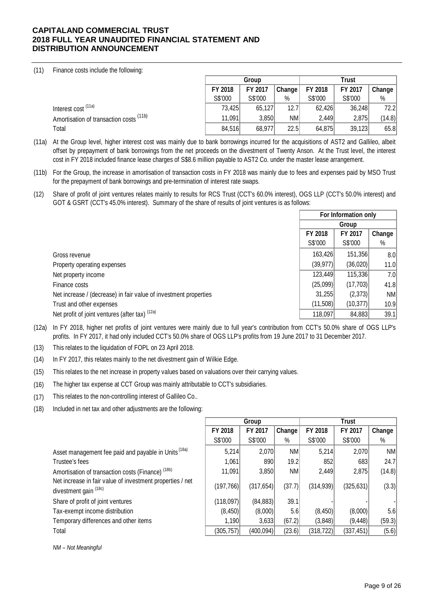(11) Finance costs include the following:

|                                         |         | Group   |        |         | <b>Trust</b> |        |  |  |
|-----------------------------------------|---------|---------|--------|---------|--------------|--------|--|--|
|                                         | FY 2018 | FY 2017 | Change | FY 2018 | FY 2017      | Change |  |  |
|                                         | S\$'000 | S\$'000 | %      | S\$'000 | S\$'000      | $\%$   |  |  |
| Interest cost <sup>(11a)</sup>          | 73,425  | 65,127  | 12.7   | 62,426  | 36,248       | 72.2   |  |  |
| Amortisation of transaction costs (11b) | 11.091  | 3.850   | NM     | 2.449   | 2,875        | (14.8) |  |  |
| Total                                   | 84,516  | 68.977  | 22.5   | 64,875  | 39,123       | 65.8   |  |  |

- (11a) At the Group level, higher interest cost was mainly due to bank borrowings incurred for the acquisitions of AST2 and Gallileo, albeit offset by prepayment of bank borrowings from the net proceeds on the divestment of Twenty Anson. At the Trust level, the interest cost in FY 2018 included finance lease charges of S\$8.6 million payable to AST2 Co. under the master lease arrangement.
- (11b) For the Group, the increase in amortisation of transaction costs in FY 2018 was mainly due to fees and expenses paid by MSO Trust for the prepayment of bank borrowings and pre-termination of interest rate swaps.
- (12) Share of profit of joint ventures relates mainly to results for RCS Trust (CCT's 60.0% interest), OGS LLP (CCT's 50.0% interest) and GOT & GSRT (CCT's 45.0% interest). Summary of the share of results of joint ventures is as follows:

|                                                                  | For Information only |           |                  |
|------------------------------------------------------------------|----------------------|-----------|------------------|
|                                                                  |                      | Group     |                  |
|                                                                  | FY 2018              | FY 2017   | Change           |
|                                                                  | S\$'000              | S\$'000   | $\%$             |
| Gross revenue                                                    | 163,426              | 151,356   | 8.0 <sub>l</sub> |
| Property operating expenses                                      | (39,977)             | (36,020)  | 11.0             |
| Net property income                                              | 123,449              | 115,336   | 7.0              |
| Finance costs                                                    | (25,099)             | (17, 703) | 41.8             |
| Net increase / (decrease) in fair value of investment properties | 31,255               | (2,373)   | NM               |
| Trust and other expenses                                         | (11,508)             | (10, 377) | 10.9             |
| Net profit of joint ventures (after tax) (12a)                   | 118,097              | 84,883    | 39.1             |

- (12a) In FY 2018, higher net profits of joint ventures were mainly due to full year's contribution from CCT's 50.0% share of OGS LLP's profits. In FY 2017, it had only included CCT's 50.0% share of OGS LLP's profits from 19 June 2017 to 31 December 2017.
- (13) This relates to the liquidation of FOPL on 23 April 2018.
- (14) In FY 2017, this relates mainly to the net divestment gain of Wilkie Edge.
- (15) This relates to the net increase in property values based on valuations over their carrying values.
- (16) The higher tax expense at CCT Group was mainly attributable to CCT's subsidiaries.
- (17) This relates to the non-controlling interest of Gallileo Co..
- (18) Included in net tax and other adjustments are the following:

|                                                                                    | Group      |            |           |            |            |           |
|------------------------------------------------------------------------------------|------------|------------|-----------|------------|------------|-----------|
|                                                                                    | FY 2018    | FY 2017    | Change    | FY 2018    | FY 2017    | Change    |
|                                                                                    | S\$'000    | S\$'000    | $\%$      | S\$'000    | S\$'000    | $\%$      |
| Asset management fee paid and payable in Units (18a)                               | 5,214      | 2,070      | <b>NM</b> | 5,214      | 2,070      | <b>NM</b> |
| Trustee's fees                                                                     | 1,061      | 890        | 19.2      | 852        | 683        | 24.7      |
| Amortisation of transaction costs (Finance) <sup>(18b)</sup>                       | 11,091     | 3,850      | <b>NM</b> | 2,449      | 2,875      | (14.8)    |
| Net increase in fair value of investment properties / net<br>divestment gain (18c) | (197, 766) | (317, 654) | (37.7)    | (314, 939) | (325, 631) | (3.3)     |
| Share of profit of joint ventures                                                  | (118,097)  | (84, 883)  | 39.1      |            |            |           |
| Tax-exempt income distribution                                                     | (8, 450)   | (8,000)    | 5.6       | (8, 450)   | (8,000)    | 5.6       |
| Temporary differences and other items                                              | 1,190      | 3,633      | (67.2)    | (3,848)    | (9, 448)   | (59.3)    |
| Total                                                                              | (305, 757) | (400, 094) | (23.6)    | (318, 722) | (337, 451) | (5.6)     |

*NM – Not Meaningful*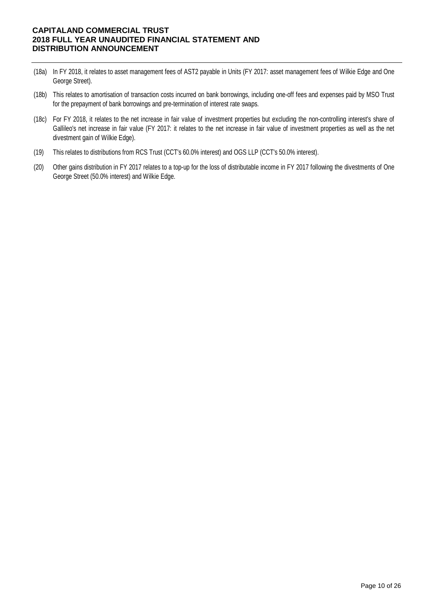- (18a) In FY 2018, it relates to asset management fees of AST2 payable in Units (FY 2017: asset management fees of Wilkie Edge and One George Street).
- (18b) This relates to amortisation of transaction costs incurred on bank borrowings, including one-off fees and expenses paid by MSO Trust for the prepayment of bank borrowings and pre-termination of interest rate swaps.
- (18c) For FY 2018, it relates to the net increase in fair value of investment properties but excluding the non-controlling interest's share of Gallileo's net increase in fair value (FY 2017: it relates to the net increase in fair value of investment properties as well as the net divestment gain of Wilkie Edge).
- (19) This relates to distributions from RCS Trust (CCT's 60.0% interest) and OGS LLP (CCT's 50.0% interest).
- Other gains distribution in FY 2017 relates to a top-up for the loss of distributable income in FY 2017 following the divestments of One George Street (50.0% interest) and Wilkie Edge. (20)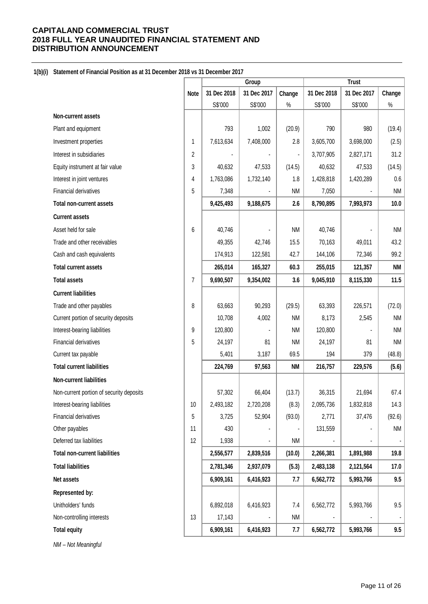### **1(b)(i) Statement of Financial Position as at 31 December 2018 vs 31 December 2017**

|                                          |                |             | Group       |                | <b>Trust</b> |             |                |  |
|------------------------------------------|----------------|-------------|-------------|----------------|--------------|-------------|----------------|--|
|                                          | <b>Note</b>    | 31 Dec 2018 | 31 Dec 2017 | Change         | 31 Dec 2018  | 31 Dec 2017 | Change         |  |
|                                          |                | S\$'000     | S\$'000     | $\%$           | S\$'000      | S\$'000     | $\%$           |  |
| Non-current assets                       |                |             |             |                |              |             |                |  |
| Plant and equipment                      |                | 793         | 1,002       | (20.9)         | 790          | 980         | (19.4)         |  |
| Investment properties                    | 1              | 7,613,634   | 7,408,000   | 2.8            | 3,605,700    | 3,698,000   | (2.5)          |  |
| Interest in subsidiaries                 | $\overline{2}$ |             |             | $\blacksquare$ | 3,707,905    | 2,827,171   | 31.2           |  |
| Equity instrument at fair value          | 3              | 40,632      | 47,533      | (14.5)         | 40,632       | 47,533      | (14.5)         |  |
| Interest in joint ventures               | 4              | 1,763,086   | 1,732,140   | 1.8            | 1,428,818    | 1,420,289   | 0.6            |  |
| Financial derivatives                    | 5              | 7,348       |             | <b>NM</b>      | 7,050        |             | <b>NM</b>      |  |
| <b>Total non-current assets</b>          |                | 9,425,493   | 9,188,675   | 2.6            | 8,790,895    | 7,993,973   | 10.0           |  |
| <b>Current assets</b>                    |                |             |             |                |              |             |                |  |
| Asset held for sale                      | 6              | 40,746      |             | <b>NM</b>      | 40,746       |             | <b>NM</b>      |  |
| Trade and other receivables              |                | 49,355      | 42,746      | 15.5           | 70,163       | 49,011      | 43.2           |  |
| Cash and cash equivalents                |                | 174,913     | 122,581     | 42.7           | 144,106      | 72,346      | 99.2           |  |
| <b>Total current assets</b>              |                | 265,014     | 165,327     | 60.3           | 255,015      | 121,357     | <b>NM</b>      |  |
| <b>Total assets</b>                      | 7              | 9,690,507   | 9,354,002   | 3.6            | 9,045,910    | 8,115,330   | 11.5           |  |
| <b>Current liabilities</b>               |                |             |             |                |              |             |                |  |
| Trade and other payables                 | 8              | 63,663      | 90,293      | (29.5)         | 63,393       | 226,571     | (72.0)         |  |
| Current portion of security deposits     |                | 10,708      | 4,002       | <b>NM</b>      | 8,173        | 2,545       | <b>NM</b>      |  |
| Interest-bearing liabilities             | 9              | 120,800     |             | <b>NM</b>      | 120,800      |             | <b>NM</b>      |  |
| Financial derivatives                    | 5              | 24,197      | 81          | <b>NM</b>      | 24,197       | 81          | <b>NM</b>      |  |
| Current tax payable                      |                | 5,401       | 3,187       | 69.5           | 194          | 379         | (48.8)         |  |
| <b>Total current liabilities</b>         |                | 224,769     | 97,563      | <b>NM</b>      | 216,757      | 229,576     | (5.6)          |  |
| Non-current liabilities                  |                |             |             |                |              |             |                |  |
| Non-current portion of security deposits |                | 57,302      | 66,404      | (13.7)         | 36,315       | 21,694      | 67.4           |  |
| Interest-bearing liabilities             | 10             | 2,493,182   | 2,720,208   | (8.3)          | 2,095,736    | 1,832,818   | 14.3           |  |
| Financial derivatives                    | 5              | 3,725       | 52,904      | (93.0)         | 2,771        | 37,476      | (92.6)         |  |
| Other payables                           | 11             | 430         |             |                | 131,559      |             | <b>NM</b>      |  |
| Deferred tax liabilities                 | 12             | 1,938       |             | <b>NM</b>      |              |             |                |  |
| <b>Total non-current liabilities</b>     |                | 2,556,577   | 2,839,516   | (10.0)         | 2,266,381    | 1,891,988   | 19.8           |  |
| <b>Total liabilities</b>                 |                | 2,781,346   | 2,937,079   | (5.3)          | 2,483,138    | 2,121,564   | 17.0           |  |
| Net assets                               |                | 6,909,161   | 6,416,923   | 7.7            | 6,562,772    | 5,993,766   | 9.5            |  |
| Represented by:                          |                |             |             |                |              |             |                |  |
| Unitholders' funds                       |                | 6,892,018   | 6,416,923   | 7.4            | 6,562,772    | 5,993,766   | 9.5            |  |
| Non-controlling interests                | 13             | 17,143      |             | <b>NM</b>      |              |             | $\blacksquare$ |  |
| <b>Total equity</b>                      |                | 6,909,161   | 6,416,923   | 7.7            | 6,562,772    | 5,993,766   | 9.5            |  |

*NM – Not Meaningful*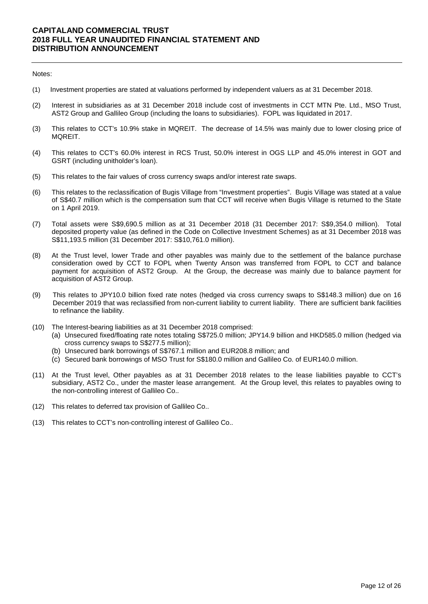#### Notes:

- (1) Investment properties are stated at valuations performed by independent valuers as at 31 December 2018.
- (2) Interest in subsidiaries as at 31 December 2018 include cost of investments in CCT MTN Pte. Ltd., MSO Trust, AST2 Group and Gallileo Group (including the loans to subsidiaries). FOPL was liquidated in 2017.
- (3) This relates to CCT's 10.9% stake in MQREIT. The decrease of 14.5% was mainly due to lower closing price of MQREIT.
- (4) This relates to CCT's 60.0% interest in RCS Trust, 50.0% interest in OGS LLP and 45.0% interest in GOT and GSRT (including unitholder's loan).
- (5) This relates to the fair values of cross currency swaps and/or interest rate swaps.
- (6) This relates to the reclassification of Bugis Village from "Investment properties". Bugis Village was stated at a value of S\$40.7 million which is the compensation sum that CCT will receive when Bugis Village is returned to the State on 1 April 2019.
- (7) Total assets were S\$9,690.5 million as at 31 December 2018 (31 December 2017: S\$9,354.0 million). Total deposited property value (as defined in the Code on Collective Investment Schemes) as at 31 December 2018 was S\$11,193.5 million (31 December 2017: S\$10,761.0 million).
- (8) At the Trust level, lower Trade and other payables was mainly due to the settlement of the balance purchase consideration owed by CCT to FOPL when Twenty Anson was transferred from FOPL to CCT and balance payment for acquisition of AST2 Group. At the Group, the decrease was mainly due to balance payment for acquisition of AST2 Group.
- (9) This relates to JPY10.0 billion fixed rate notes (hedged via cross currency swaps to S\$148.3 million) due on 16 December 2019 that was reclassified from non-current liability to current liability. There are sufficient bank facilities to refinance the liability.
- (10) The Interest-bearing liabilities as at 31 December 2018 comprised:
	- (a) Unsecured fixed/floating rate notes totaling S\$725.0 million; JPY14.9 billion and HKD585.0 million (hedged via cross currency swaps to S\$277.5 million);
	- (b) Unsecured bank borrowings of S\$767.1 million and EUR208.8 million; and
	- (c) Secured bank borrowings of MSO Trust for S\$180.0 million and Gallileo Co. of EUR140.0 million.
- (11) At the Trust level, Other payables as at 31 December 2018 relates to the lease liabilities payable to CCT's subsidiary, AST2 Co., under the master lease arrangement. At the Group level, this relates to payables owing to the non-controlling interest of Gallileo Co..
- (12) This relates to deferred tax provision of Gallileo Co..
- (13) This relates to CCT's non-controlling interest of Gallileo Co..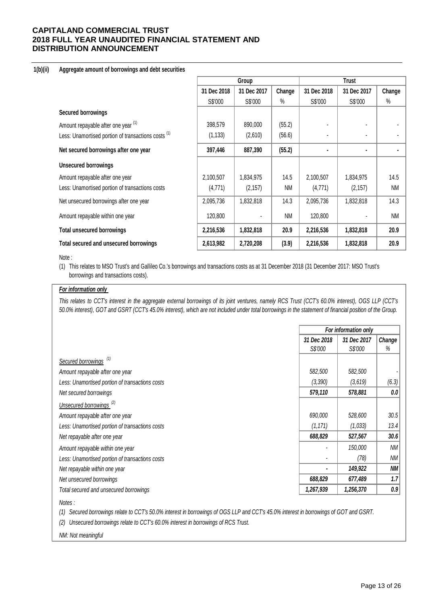#### **1(b)(ii) Aggregate amount of borrowings and debt securities**

|                                                                |             | Group       |           |             |             |           |
|----------------------------------------------------------------|-------------|-------------|-----------|-------------|-------------|-----------|
|                                                                | 31 Dec 2018 | 31 Dec 2017 | Change    | 31 Dec 2018 | 31 Dec 2017 | Change    |
|                                                                | S\$'000     | S\$'000     | $\%$      | S\$'000     | S\$'000     | $\%$      |
| <b>Secured borrowings</b>                                      |             |             |           |             |             |           |
| Amount repayable after one year (1)                            | 398,579     | 890,000     | (55.2)    |             |             |           |
| Less: Unamortised portion of transactions costs <sup>(1)</sup> | (1, 133)    | (2,610)     | (56.6)    |             |             |           |
| Net secured borrowings after one year                          | 397,446     | 887,390     | (55.2)    | ٠           |             |           |
| <b>Unsecured borrowings</b>                                    |             |             |           |             |             |           |
| Amount repayable after one year                                | 2,100,507   | 1,834,975   | 14.5      | 2,100,507   | 1,834,975   | 14.5      |
| Less: Unamortised portion of transactions costs                | (4,771)     | (2, 157)    | <b>NM</b> | (4, 771)    | (2, 157)    | <b>NM</b> |
| Net unsecured borrowings after one year                        | 2,095,736   | 1,832,818   | 14.3      | 2,095,736   | 1,832,818   | 14.3      |
| Amount repayable within one year                               | 120,800     |             | <b>NM</b> | 120,800     |             | <b>NM</b> |
| <b>Total unsecured borrowings</b>                              | 2,216,536   | 1,832,818   | 20.9      | 2,216,536   | 1,832,818   | 20.9      |
| Total secured and unsecured borrowings                         | 2,613,982   | 2,720,208   | (3.9)     | 2,216,536   | 1,832,818   | 20.9      |

#### Note :

(1) This relates to MSO Trust's and Gallileo Co.'s borrowings and transactions costs as at 31 December 2018 (31 December 2017: MSO Trust's borrowings and transactions costs).

#### *For information only*

*This relates to CCT's interest in the aggregate external borrowings of its joint ventures, namely RCS Trust (CCT's 60.0% interest), OGS LLP (CCT's 50.0% interest), GOT and GSRT (CCT's 45.0% interest), which are not included under total borrowings in the statement of financial position of the Group.*

|                                                 |                        | For information only   |             |  |  |
|-------------------------------------------------|------------------------|------------------------|-------------|--|--|
|                                                 | 31 Dec 2018<br>S\$'000 | 31 Dec 2017<br>S\$'000 | Change<br>% |  |  |
| Secured borrowings <sup>(1)</sup>               |                        |                        |             |  |  |
| Amount repayable after one year                 | 582,500                | 582,500                |             |  |  |
| Less: Unamortised portion of transactions costs | (3, 390)               | (3,619)                | (6.3)       |  |  |
| Net secured borrowings                          | 579,110                | 578,881                | 0.0         |  |  |
| Unsecured borrowings <sup>(2)</sup>             |                        |                        |             |  |  |
| Amount repayable after one year                 | 690,000                | 528,600                | 30.5        |  |  |
| Less: Unamortised portion of transactions costs | (1, 171)               | (1,033)                | 13.4        |  |  |
| Net repayable after one year                    | 688,829                | 527,567                | 30.6        |  |  |
| Amount repayable within one year                |                        | 150,000                | ΝM          |  |  |
| Less: Unamortised portion of transactions costs |                        | (78)                   | ΝM          |  |  |
| Net repayable within one year                   |                        | 149,922                | <b>NM</b>   |  |  |
| Net unsecured borrowings                        | 688,829                | 677,489                | 1.7         |  |  |
| Total secured and unsecured borrowings          | 1,267,939              | 1,256,370              | 0.9         |  |  |
| Notes:                                          |                        |                        |             |  |  |

*(1) Secured borrowings relate to CCT's 50.0% interest in borrowings of OGS LLP and CCT's 45.0% interest in borrowings of GOT and GSRT.* 

*(2) Unsecured borrowings relate to CCT's 60.0% interest in borrowings of RCS Trust.*

*NM: Not meaningful*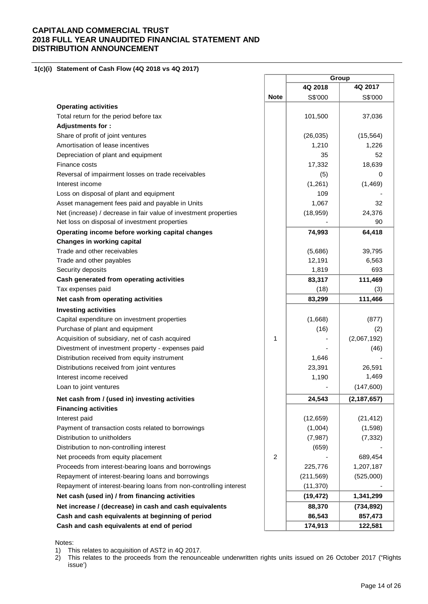**1(c)(i) Statement of Cash Flow (4Q 2018 vs 4Q 2017)** 

|                                                                   |             |            | Group         |
|-------------------------------------------------------------------|-------------|------------|---------------|
|                                                                   |             | 4Q 2018    | 4Q 2017       |
|                                                                   | <b>Note</b> | S\$'000    | S\$'000       |
| <b>Operating activities</b>                                       |             |            |               |
| Total return for the period before tax                            |             | 101,500    | 37,036        |
| Adjustments for:                                                  |             |            |               |
| Share of profit of joint ventures                                 |             | (26, 035)  | (15, 564)     |
| Amortisation of lease incentives                                  |             | 1,210      | 1,226         |
| Depreciation of plant and equipment                               |             | 35         | 52            |
| Finance costs                                                     |             | 17,332     | 18,639        |
| Reversal of impairment losses on trade receivables                |             | (5)        | 0             |
| Interest income                                                   |             | (1,261)    | (1,469)       |
| Loss on disposal of plant and equipment                           |             | 109        |               |
| Asset management fees paid and payable in Units                   |             | 1,067      | 32            |
| Net (increase) / decrease in fair value of investment properties  |             | (18, 959)  | 24,376        |
| Net loss on disposal of investment properties                     |             |            | 90            |
| Operating income before working capital changes                   |             | 74,993     | 64,418        |
| <b>Changes in working capital</b>                                 |             |            |               |
| Trade and other receivables                                       |             | (5,686)    | 39,795        |
| Trade and other payables                                          |             | 12,191     | 6,563         |
| Security deposits                                                 |             | 1,819      | 693           |
| Cash generated from operating activities                          |             | 83,317     | 111,469       |
| Tax expenses paid                                                 |             | (18)       | (3)           |
| Net cash from operating activities                                |             | 83,299     | 111,466       |
| <b>Investing activities</b>                                       |             |            |               |
| Capital expenditure on investment properties                      |             | (1,668)    | (877)         |
| Purchase of plant and equipment                                   |             | (16)       | (2)           |
| Acquisition of subsidiary, net of cash acquired                   | 1           |            | (2,067,192)   |
| Divestment of investment property - expenses paid                 |             |            | (46)          |
| Distribution received from equity instrument                      |             | 1,646      |               |
| Distributions received from joint ventures                        |             | 23,391     | 26,591        |
| Interest income received                                          |             | 1,190      | 1,469         |
| Loan to joint ventures                                            |             |            | (147,600)     |
| Net cash from / (used in) investing activities                    |             | 24,543     | (2, 187, 657) |
| <b>Financing activities</b>                                       |             |            |               |
| Interest paid                                                     |             | (12, 659)  | (21, 412)     |
| Payment of transaction costs related to borrowings                |             | (1,004)    | (1,598)       |
| Distribution to unitholders                                       |             | (7, 987)   | (7, 332)      |
| Distribution to non-controlling interest                          |             | (659)      |               |
| Net proceeds from equity placement                                | 2           |            | 689,454       |
| Proceeds from interest-bearing loans and borrowings               |             | 225,776    | 1,207,187     |
| Repayment of interest-bearing loans and borrowings                |             | (211, 569) | (525,000)     |
| Repayment of interest-bearing loans from non-controlling interest |             | (11, 370)  |               |
| Net cash (used in) / from financing activities                    |             | (19, 472)  | 1,341,299     |
| Net increase / (decrease) in cash and cash equivalents            |             | 88,370     | (734, 892)    |
| Cash and cash equivalents at beginning of period                  |             | 86,543     | 857,473       |
| Cash and cash equivalents at end of period                        |             |            |               |
|                                                                   |             | 174,913    | 122,581       |

r

#### Notes:

1) This relates to acquisition of AST2 in 4Q 2017.

2) This relates to the proceeds from the renounceable underwritten rights units issued on 26 October 2017 ("Rights issue')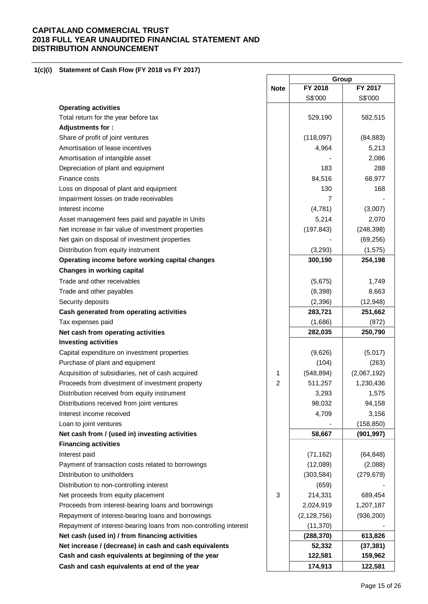### **1(c)(i) Statement of Cash Flow (FY 2018 vs FY 2017)**

|                                                                   | Group          |               |             |
|-------------------------------------------------------------------|----------------|---------------|-------------|
|                                                                   | <b>Note</b>    | FY 2018       | FY 2017     |
|                                                                   |                | S\$'000       | S\$'000     |
| <b>Operating activities</b>                                       |                |               |             |
| Total return for the year before tax                              |                | 529,190       | 582,515     |
| Adjustments for:                                                  |                |               |             |
| Share of profit of joint ventures                                 |                | (118,097)     | (84, 883)   |
| Amortisation of lease incentives                                  |                | 4,964         | 5,213       |
| Amortisation of intangible asset                                  |                |               | 2,086       |
| Depreciation of plant and equipment                               |                | 183           | 288         |
| Finance costs                                                     |                | 84,516        | 68,977      |
| Loss on disposal of plant and equipment                           |                | 130           | 168         |
| Impairment losses on trade receivables                            |                | 7             |             |
| Interest income                                                   |                | (4,781)       | (3,007)     |
| Asset management fees paid and payable in Units                   |                | 5,214         | 2,070       |
| Net increase in fair value of investment properties               |                | (197, 843)    | (248, 398)  |
| Net gain on disposal of investment properties                     |                |               | (69, 256)   |
| Distribution from equity instrument                               |                | (3,293)       | (1, 575)    |
| Operating income before working capital changes                   |                | 300,190       | 254,198     |
| <b>Changes in working capital</b>                                 |                |               |             |
| Trade and other receivables                                       |                | (5,675)       | 1,749       |
| Trade and other payables                                          |                | (8,398)       | 8,663       |
| Security deposits                                                 |                | (2, 396)      | (12, 948)   |
| Cash generated from operating activities                          |                | 283,721       | 251,662     |
| Tax expenses paid                                                 |                | (1,686)       | (872)       |
| Net cash from operating activities                                |                | 282,035       | 250,790     |
| <b>Investing activities</b>                                       |                |               |             |
|                                                                   |                | (9,626)       | (5,017)     |
| Capital expenditure on investment properties                      |                |               |             |
| Purchase of plant and equipment                                   |                | (104)         | (263)       |
| Acquisition of subsidiaries, net of cash acquired                 | 1              | (548, 894)    | (2,067,192) |
| Proceeds from divestment of investment property                   | $\overline{c}$ | 511,257       | 1,230,436   |
| Distribution received from equity instrument                      |                | 3,293         | 1,575       |
| Distributions received from joint ventures                        |                | 98,032        | 94,158      |
| Interest income received                                          |                | 4,709         | 3,156       |
| Loan to joint ventures                                            |                |               | (158, 850)  |
| Net cash from / (used in) investing activities                    |                | 58,667        | (901, 997)  |
| <b>Financing activities</b>                                       |                |               |             |
| Interest paid                                                     |                | (71, 162)     | (64, 848)   |
| Payment of transaction costs related to borrowings                |                | (12,089)      | (2,088)     |
| Distribution to unitholders                                       |                | (303, 584)    | (279, 679)  |
| Distribution to non-controlling interest                          |                | (659)         |             |
| Net proceeds from equity placement                                | $\sqrt{3}$     | 214,331       | 689,454     |
| Proceeds from interest-bearing loans and borrowings               |                | 2,024,919     | 1,207,187   |
| Repayment of interest-bearing loans and borrowings                |                | (2, 128, 756) | (936, 200)  |
| Repayment of interest-bearing loans from non-controlling interest |                | (11, 370)     |             |
| Net cash (used in) / from financing activities                    |                | (288, 370)    | 613,826     |
| Net increase / (decrease) in cash and cash equivalents            |                | 52,332        | (37, 381)   |
| Cash and cash equivalents at beginning of the year                |                | 122,581       | 159,962     |
| Cash and cash equivalents at end of the year                      |                | 174,913       | 122,581     |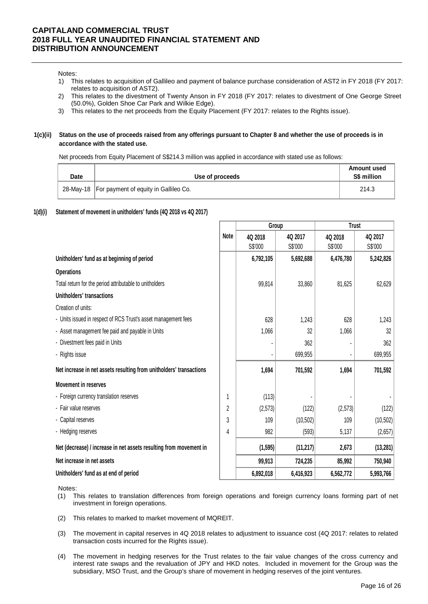#### Notes:

- 1) This relates to acquisition of Gallileo and payment of balance purchase consideration of AST2 in FY 2018 (FY 2017: relates to acquisition of AST2).
- 2) This relates to the divestment of Twenty Anson in FY 2018 (FY 2017: relates to divestment of One George Street (50.0%), Golden Shoe Car Park and Wilkie Edge).
- 3) This relates to the net proceeds from the Equity Placement (FY 2017: relates to the Rights issue).

#### **1(c)(ii) Status on the use of proceeds raised from any offerings pursuant to Chapter 8 and whether the use of proceeds is in accordance with the stated use.**

Net proceeds from Equity Placement of S\$214.3 million was applied in accordance with stated use as follows:

| <b>Date</b> | Use of proceeds                                   | Amount used<br>S\$ million |
|-------------|---------------------------------------------------|----------------------------|
|             | 28-May-18   For payment of equity in Gallileo Co. | 214.3                      |

#### **1(d)(i) Statement of movement in unitholders' funds (4Q 2018 vs 4Q 2017)**

|                                                                     |             |           | Group     |           | <b>Trust</b> |
|---------------------------------------------------------------------|-------------|-----------|-----------|-----------|--------------|
|                                                                     | <b>Note</b> | 4Q 2018   | 4Q 2017   | 4Q 2018   | 4Q 2017      |
|                                                                     |             | S\$'000   | S\$'000   | S\$'000   | S\$'000      |
| Unitholders' fund as at beginning of period                         |             | 6,792,105 | 5,692,688 | 6,476,780 | 5,242,826    |
| <b>Operations</b>                                                   |             |           |           |           |              |
| Total return for the period attributable to unitholders             |             | 99,814    | 33,860    | 81,625    | 62,629       |
| Unitholders' transactions                                           |             |           |           |           |              |
| Creation of units:                                                  |             |           |           |           |              |
| - Units issued in respect of RCS Trust's asset management fees      |             | 628       | 1,243     | 628       | 1,243        |
| - Asset management fee paid and payable in Units                    |             | 1,066     | 32        | 1,066     | 32           |
| - Divestment fees paid in Units                                     |             |           | 362       |           | 362          |
| - Rights issue                                                      |             |           | 699,955   |           | 699,955      |
| Net increase in net assets resulting from unitholders' transactions |             | 1,694     | 701,592   | 1,694     | 701,592      |
| <b>Movement in reserves</b>                                         |             |           |           |           |              |
| - Foreign currency translation reserves                             | 1           | (113)     |           |           |              |
| - Fair value reserves                                               | 2           | (2, 573)  | (122)     | (2, 573)  | (122)        |
| - Capital reserves                                                  | 3           | 109       | (10, 502) | 109       | (10, 502)    |
| - Hedging reserves                                                  | 4           | 982       | (593)     | 5,137     | (2,657)      |
| Net (decrease) / increase in net assets resulting from movement in  |             | (1, 595)  | (11, 217) | 2,673     | (13, 281)    |
| Net increase in net assets                                          |             | 99,913    | 724,235   | 85,992    | 750,940      |
| Unitholders' fund as at end of period                               |             | 6,892,018 | 6,416,923 | 6,562,772 | 5,993,766    |

Notes:

- (1) This relates to translation differences from foreign operations and foreign currency loans forming part of net investment in foreign operations.
- (2) This relates to marked to market movement of MQREIT.
- (3) The movement in capital reserves in 4Q 2018 relates to adjustment to issuance cost (4Q 2017: relates to related transaction costs incurred for the Rights issue).
- (4) The movement in hedging reserves for the Trust relates to the fair value changes of the cross currency and interest rate swaps and the revaluation of JPY and HKD notes. Included in movement for the Group was the subsidiary, MSO Trust, and the Group's share of movement in hedging reserves of the joint ventures.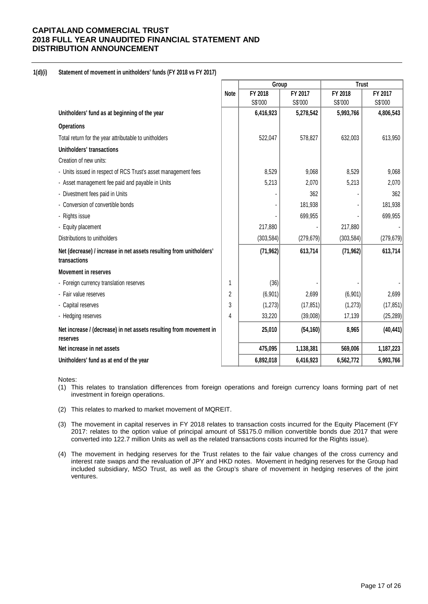### **1(d)(i) Statement of movement in unitholders' funds (FY 2018 vs FY 2017)**

|                                                                                     |             | Group      |            | <b>Trust</b> |            |
|-------------------------------------------------------------------------------------|-------------|------------|------------|--------------|------------|
|                                                                                     | <b>Note</b> | FY 2018    | FY 2017    | FY 2018      | FY 2017    |
|                                                                                     |             | S\$'000    | S\$'000    | S\$'000      | S\$'000    |
| Unitholders' fund as at beginning of the year                                       |             | 6,416,923  | 5,278,542  | 5,993,766    | 4,806,543  |
| <b>Operations</b>                                                                   |             |            |            |              |            |
| Total return for the year attributable to unitholders                               |             | 522,047    | 578,827    | 632,003      | 613,950    |
| Unitholders' transactions                                                           |             |            |            |              |            |
| Creation of new units:                                                              |             |            |            |              |            |
| - Units issued in respect of RCS Trust's asset management fees                      |             | 8,529      | 9,068      | 8,529        | 9,068      |
| - Asset management fee paid and payable in Units                                    |             | 5,213      | 2,070      | 5,213        | 2,070      |
| - Divestment fees paid in Units                                                     |             |            | 362        |              | 362        |
| - Conversion of convertible bonds                                                   |             |            | 181,938    |              | 181,938    |
| - Rights issue                                                                      |             |            | 699,955    |              | 699,955    |
| - Equity placement                                                                  |             | 217,880    |            | 217,880      |            |
| Distributions to unitholders                                                        |             | (303, 584) | (279, 679) | (303, 584)   | (279, 679) |
| Net (decrease) / increase in net assets resulting from unitholders'<br>transactions |             | (71, 962)  | 613,714    | (71, 962)    | 613,714    |
| <b>Movement in reserves</b>                                                         |             |            |            |              |            |
| - Foreign currency translation reserves                                             | 1           | (36)       |            |              |            |
| - Fair value reserves                                                               | 2           | (6,901)    | 2,699      | (6,901)      | 2,699      |
| - Capital reserves                                                                  | 3           | (1,273)    | (17, 851)  | (1, 273)     | (17, 851)  |
| - Hedging reserves                                                                  | 4           | 33,220     | (39,008)   | 17,139       | (25, 289)  |
| Net increase / (decrease) in net assets resulting from movement in<br>reserves      |             | 25,010     | (54, 160)  | 8,965        | (40, 441)  |
| Net increase in net assets                                                          |             | 475,095    | 1,138,381  | 569,006      | 1,187,223  |
| Unitholders' fund as at end of the year                                             |             | 6,892,018  | 6,416,923  | 6,562,772    | 5,993,766  |

Notes:

- (1) This relates to translation differences from foreign operations and foreign currency loans forming part of net investment in foreign operations.
- (2) This relates to marked to market movement of MQREIT.
- (3) The movement in capital reserves in FY 2018 relates to transaction costs incurred for the Equity Placement (FY 2017: relates to the option value of principal amount of S\$175.0 million convertible bonds due 2017 that were converted into 122.7 million Units as well as the related transactions costs incurred for the Rights issue).
- (4) The movement in hedging reserves for the Trust relates to the fair value changes of the cross currency and interest rate swaps and the revaluation of JPY and HKD notes. Movement in hedging reserves for the Group had included subsidiary, MSO Trust, as well as the Group's share of movement in hedging reserves of the joint ventures.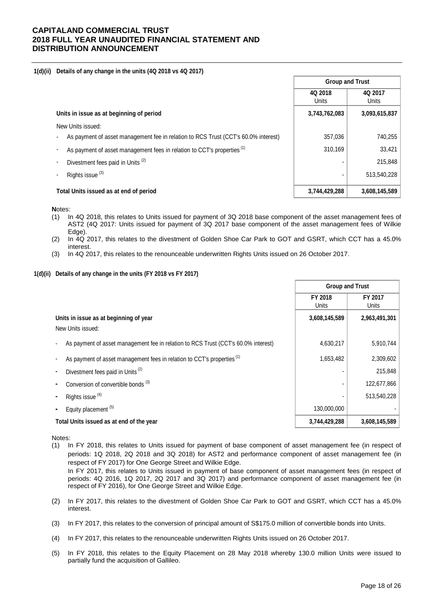#### **1(d)(ii) Details of any change in the units (4Q 2018 vs 4Q 2017)**

|                                                                                    | <b>Group and Trust</b> |                  |
|------------------------------------------------------------------------------------|------------------------|------------------|
|                                                                                    | 4Q 2018<br>Units       | 4Q 2017<br>Units |
| Units in issue as at beginning of period                                           | 3,743,762,083          | 3,093,615,837    |
| New Units issued:                                                                  |                        |                  |
| As payment of asset management fee in relation to RCS Trust (CCT's 60.0% interest) | 357,036                | 740,255          |
| As payment of asset management fees in relation to CCT's properties <sup>(1)</sup> | 310,169                | 33,421           |
| Divestment fees paid in Units <sup>(2)</sup>                                       |                        | 215,848          |
| Rights issue <sup>(3)</sup>                                                        |                        | 513,540,228      |
| Total Units issued as at end of period                                             | 3.744.429.288          | 3,608,145,589    |

Г

**N**otes:

- (1) In 4Q 2018, this relates to Units issued for payment of 3Q 2018 base component of the asset management fees of AST2 (4Q 2017: Units issued for payment of 3Q 2017 base component of the asset management fees of Wilkie Edge).
- (2) In 4Q 2017, this relates to the divestment of Golden Shoe Car Park to GOT and GSRT, which CCT has a 45.0% interest.
- (3) In 4Q 2017, this relates to the renounceable underwritten Rights Units issued on 26 October 2017.

#### **1(d)(ii) Details of any change in the units (FY 2018 vs FY 2017)**

|                                                                                    | <b>Group and Trust</b> |                  |
|------------------------------------------------------------------------------------|------------------------|------------------|
|                                                                                    | FY 2018<br>Units       | FY 2017<br>Units |
| Units in issue as at beginning of year                                             | 3,608,145,589          | 2,963,491,301    |
| New Units issued:                                                                  |                        |                  |
| As payment of asset management fee in relation to RCS Trust (CCT's 60.0% interest) | 4,630,217              | 5,910,744        |
| As payment of asset management fees in relation to CCT's properties <sup>(1)</sup> | 1,653,482              | 2,309,602        |
| Divestment fees paid in Units <sup>(2)</sup>                                       |                        | 215,848          |
| Conversion of convertible bonds <sup>(3)</sup>                                     |                        | 122,677,866      |
| Rights issue <sup>(4)</sup>                                                        |                        | 513,540,228      |
| Equity placement <sup>(5)</sup>                                                    | 130,000,000            |                  |
| Total Units issued as at end of the year                                           | 3,744,429,288          | 3,608,145,589    |

Notes:

(1) In FY 2018, this relates to Units issued for payment of base component of asset management fee (in respect of periods: 1Q 2018, 2Q 2018 and 3Q 2018) for AST2 and performance component of asset management fee (in respect of FY 2017) for One George Street and Wilkie Edge. In FY 2017, this relates to Units issued in payment of base component of asset management fees (in respect of

periods: 4Q 2016, 1Q 2017, 2Q 2017 and 3Q 2017) and performance component of asset management fee (in respect of FY 2016), for One George Street and Wilkie Edge.

- (2) In FY 2017, this relates to the divestment of Golden Shoe Car Park to GOT and GSRT, which CCT has a 45.0% interest.
- (3) In FY 2017, this relates to the conversion of principal amount of S\$175.0 million of convertible bonds into Units.
- (4) In FY 2017, this relates to the renounceable underwritten Rights Units issued on 26 October 2017.
- (5) In FY 2018, this relates to the Equity Placement on 28 May 2018 whereby 130.0 million Units were issued to partially fund the acquisition of Gallileo.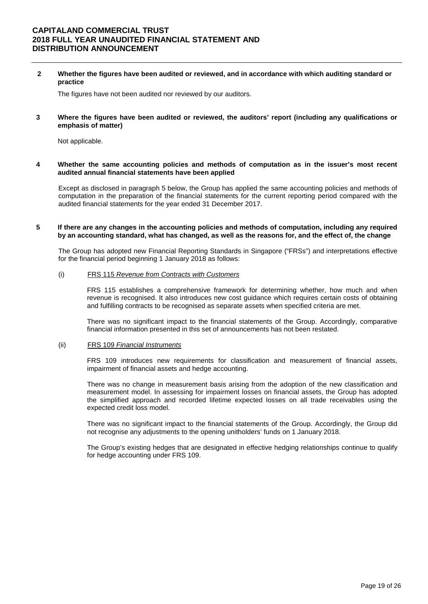**2 Whether the figures have been audited or reviewed, and in accordance with which auditing standard or practice** 

The figures have not been audited nor reviewed by our auditors.

**3 Where the figures have been audited or reviewed, the auditors' report (including any qualifications or emphasis of matter)** 

Not applicable.

**4 Whether the same accounting policies and methods of computation as in the issuer's most recent audited annual financial statements have been applied** 

Except as disclosed in paragraph 5 below, the Group has applied the same accounting policies and methods of computation in the preparation of the financial statements for the current reporting period compared with the audited financial statements for the year ended 31 December 2017.

#### **5 If there are any changes in the accounting policies and methods of computation, including any required by an accounting standard, what has changed, as well as the reasons for, and the effect of, the change**

The Group has adopted new Financial Reporting Standards in Singapore ("FRSs") and interpretations effective for the financial period beginning 1 January 2018 as follows:

### (i) FRS 115 *Revenue from Contracts with Customers*

FRS 115 establishes a comprehensive framework for determining whether, how much and when revenue is recognised. It also introduces new cost guidance which requires certain costs of obtaining and fulfilling contracts to be recognised as separate assets when specified criteria are met.

There was no significant impact to the financial statements of the Group. Accordingly, comparative financial information presented in this set of announcements has not been restated.

#### (ii) FRS 109 *Financial Instruments*

FRS 109 introduces new requirements for classification and measurement of financial assets, impairment of financial assets and hedge accounting.

There was no change in measurement basis arising from the adoption of the new classification and measurement model. In assessing for impairment losses on financial assets, the Group has adopted the simplified approach and recorded lifetime expected losses on all trade receivables using the expected credit loss model.

There was no significant impact to the financial statements of the Group. Accordingly, the Group did not recognise any adjustments to the opening unitholders' funds on 1 January 2018.

The Group's existing hedges that are designated in effective hedging relationships continue to qualify for hedge accounting under FRS 109.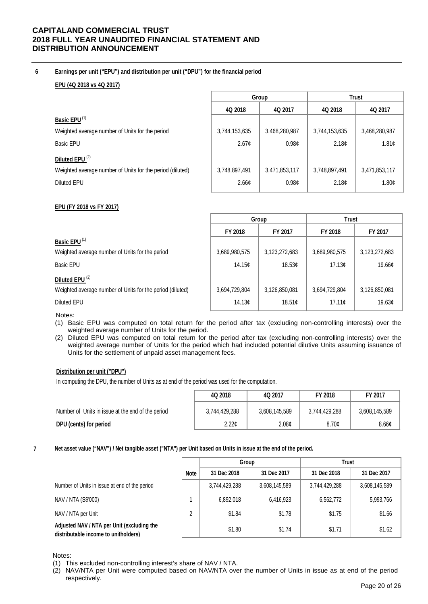### **6 Earnings per unit ("EPU") and distribution per unit ("DPU") for the financial period**

### **EPU (4Q 2018 vs 4Q 2017)**

|                                                           |               | Group         | <b>Trust</b>      |                   |  |
|-----------------------------------------------------------|---------------|---------------|-------------------|-------------------|--|
|                                                           | 4Q 2018       | 4Q 2017       | 4Q 2018           | 4Q 2017           |  |
| Basic EPU <sup>(1)</sup>                                  |               |               |                   |                   |  |
| Weighted average number of Units for the period           | 3,744,153,635 | 3,468,280,987 | 3,744,153,635     | 3,468,280,987     |  |
| Basic EPU                                                 | 2.67c         | 0.98c         | 2.18 <sub>c</sub> | 1.81c             |  |
| Diluted EPU <sup>(2)</sup>                                |               |               |                   |                   |  |
| Weighted average number of Units for the period (diluted) | 3,748,897,491 | 3,471,853,117 | 3,748,897,491     | 3,471,853,117     |  |
| Diluted EPU                                               | 2.66c         | 0.98c         | 2.18 <sub>c</sub> | 1.80 <sub>c</sub> |  |
|                                                           |               |               |                   |                   |  |

### **EPU (FY 2018 vs FY 2017)**

|                                                           |               | Group         | <b>Trust</b>  |               |  |
|-----------------------------------------------------------|---------------|---------------|---------------|---------------|--|
|                                                           | FY 2018       | FY 2017       | FY 2018       | FY 2017       |  |
| Basic EPU <sup>(1)</sup>                                  |               |               |               |               |  |
| Weighted average number of Units for the period           | 3,689,980,575 | 3,123,272,683 | 3,689,980,575 | 3,123,272,683 |  |
| <b>Basic EPU</b>                                          | 14.15c        | 18.53c        | 17.13c        | 19.66¢        |  |
| Diluted EPU <sup>(2)</sup>                                |               |               |               |               |  |
| Weighted average number of Units for the period (diluted) | 3,694,729,804 | 3,126,850,081 | 3,694,729,804 | 3,126,850,081 |  |
| <b>Diluted EPU</b>                                        | 14.13c        | 18.51c        | 17.11c        | 19.63¢        |  |

Notes:

- (1) Basic EPU was computed on total return for the period after tax (excluding non-controlling interests) over the weighted average number of Units for the period.
- (2) Diluted EPU was computed on total return for the period after tax (excluding non-controlling interests) over the weighted average number of Units for the period which had included potential dilutive Units assuming issuance of Units for the settlement of unpaid asset management fees.

### **Distribution per unit ("DPU")**

In computing the DPU, the number of Units as at end of the period was used for the computation.

|                                                   | 4Q 2018           | 4Q 2017           | FY 2018       | FY 2017           |
|---------------------------------------------------|-------------------|-------------------|---------------|-------------------|
| Number of Units in issue at the end of the period | 3,744,429,288     | 3,608,145,589     | 3,744,429,288 | 3,608,145,589     |
| DPU (cents) for period                            | 2.22 <sub>c</sub> | 2.08 <sub>c</sub> | 8.70c         | 8.66 <sub>¢</sub> |

#### **7 Net asset value ("NAV") / Net tangible asset ("NTA") per Unit based on Units in issue at the end of the period.**

|                                                                                    |             | Group         |               | <b>Trust</b>  |               |
|------------------------------------------------------------------------------------|-------------|---------------|---------------|---------------|---------------|
|                                                                                    | <b>Note</b> | 31 Dec 2018   | 31 Dec 2017   | 31 Dec 2018   | 31 Dec 2017   |
| Number of Units in issue at end of the period                                      |             | 3,744,429,288 | 3,608,145,589 | 3,744,429,288 | 3,608,145,589 |
| NAV / NTA (S\$'000)                                                                |             | 6,892,018     | 6,416,923     | 6,562,772     | 5,993,766     |
| NAV / NTA per Unit                                                                 | 2           | \$1.84        | \$1.78        | \$1.75        | \$1.66        |
| Adjusted NAV / NTA per Unit (excluding the<br>distributable income to unitholders) |             | \$1.80        | \$1.74        | \$1.71        | \$1.62        |

Notes:

(2) NAV/NTA per Unit were computed based on NAV/NTA over the number of Units in issue as at end of the period respectively.

<sup>(1)</sup> This excluded non-controlling interest's share of NAV / NTA.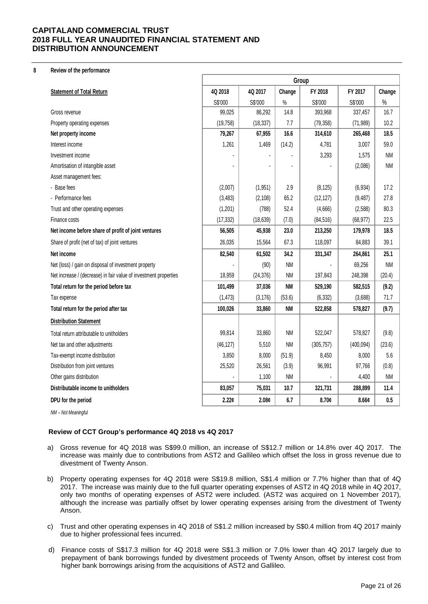#### **8 Review of the performance**

|                                                                  | Group     |           |           |            |            |           |
|------------------------------------------------------------------|-----------|-----------|-----------|------------|------------|-----------|
| <b>Statement of Total Return</b>                                 | 4Q 2018   | 4Q 2017   | Change    | FY 2018    | FY 2017    | Change    |
|                                                                  | S\$'000   | S\$'000   | $\%$      | S\$'000    | S\$'000    | $\%$      |
| Gross revenue                                                    | 99,025    | 86,292    | 14.8      | 393,968    | 337,457    | 16.7      |
| Property operating expenses                                      | (19, 758) | (18, 337) | 7.7       | (79, 358)  | (71, 989)  | 10.2      |
| Net property income                                              | 79,267    | 67,955    | 16.6      | 314,610    | 265,468    | 18.5      |
| Interest income                                                  | 1,261     | 1,469     | (14.2)    | 4,781      | 3,007      | 59.0      |
| Investment income                                                |           |           |           | 3,293      | 1,575      | <b>NM</b> |
| Amortisation of intangible asset                                 |           |           |           |            | (2,086)    | <b>NM</b> |
| Asset management fees:                                           |           |           |           |            |            |           |
| - Base fees                                                      | (2,007)   | (1, 951)  | 2.9       | (8, 125)   | (6,934)    | 17.2      |
| - Performance fees                                               | (3, 483)  | (2, 108)  | 65.2      | (12, 127)  | (9, 487)   | 27.8      |
| Trust and other operating expenses                               | (1,201)   | (788)     | 52.4      | (4,666)    | (2,588)    | 80.3      |
| Finance costs                                                    | (17, 332) | (18, 639) | (7.0)     | (84, 516)  | (68, 977)  | 22.5      |
| Net income before share of profit of joint ventures              | 56,505    | 45,938    | 23.0      | 213,250    | 179,978    | 18.5      |
| Share of profit (net of tax) of joint ventures                   | 26,035    | 15,564    | 67.3      | 118,097    | 84,883     | 39.1      |
| Net income                                                       | 82,540    | 61,502    | 34.2      | 331,347    | 264,861    | 25.1      |
| Net (loss) / gain on disposal of investment property             |           | (90)      | <b>NM</b> |            | 69,256     | <b>NM</b> |
| Net increase / (decrease) in fair value of investment properties | 18,959    | (24, 376) | <b>NM</b> | 197,843    | 248,398    | (20.4)    |
| Total return for the period before tax                           | 101,499   | 37,036    | <b>NM</b> | 529,190    | 582,515    | (9.2)     |
| Tax expense                                                      | (1, 473)  | (3, 176)  | (53.6)    | (6, 332)   | (3,688)    | 71.7      |
| Total return for the period after tax                            | 100,026   | 33,860    | <b>NM</b> | 522,858    | 578,827    | (9.7)     |
| <b>Distribution Statement</b>                                    |           |           |           |            |            |           |
| Total return attributable to unitholders                         | 99,814    | 33,860    | <b>NM</b> | 522,047    | 578,827    | (9.8)     |
| Net tax and other adjustments                                    | (46, 127) | 5,510     | <b>NM</b> | (305, 757) | (400, 094) | (23.6)    |
| Tax-exempt income distribution                                   | 3,850     | 8,000     | (51.9)    | 8,450      | 8,000      | 5.6       |
| Distribution from joint ventures                                 | 25,520    | 26,561    | (3.9)     | 96,991     | 97,766     | (0.8)     |
| Other gains distribution                                         |           | 1,100     | <b>NM</b> |            | 4,400      | <b>NM</b> |
| Distributable income to unitholders                              | 83,057    | 75,031    | 10.7      | 321,731    | 288,899    | 11.4      |
| DPU for the period                                               | 2.22¢     | 2.08¢     | 6.7       | 8.70c      | 8.66c      | 0.5       |

*NM – Not Meaningful*

### **Review of CCT Group's performance 4Q 2018 vs 4Q 2017**

- a) Gross revenue for 4Q 2018 was S\$99.0 million, an increase of S\$12.7 million or 14.8% over 4Q 2017. The increase was mainly due to contributions from AST2 and Gallileo which offset the loss in gross revenue due to divestment of Twenty Anson.
- b) Property operating expenses for 4Q 2018 were S\$19.8 million, S\$1.4 million or 7.7% higher than that of 4Q 2017. The increase was mainly due to the full quarter operating expenses of AST2 in 4Q 2018 while in 4Q 2017, only two months of operating expenses of AST2 were included. (AST2 was acquired on 1 November 2017), although the increase was partially offset by lower operating expenses arising from the divestment of Twenty Anson.
- c) Trust and other operating expenses in 4Q 2018 of S\$1.2 million increased by S\$0.4 million from 4Q 2017 mainly due to higher professional fees incurred.
- d) Finance costs of S\$17.3 million for 4Q 2018 were S\$1.3 million or 7.0% lower than 4Q 2017 largely due to prepayment of bank borrowings funded by divestment proceeds of Twenty Anson, offset by interest cost from higher bank borrowings arising from the acquisitions of AST2 and Gallileo.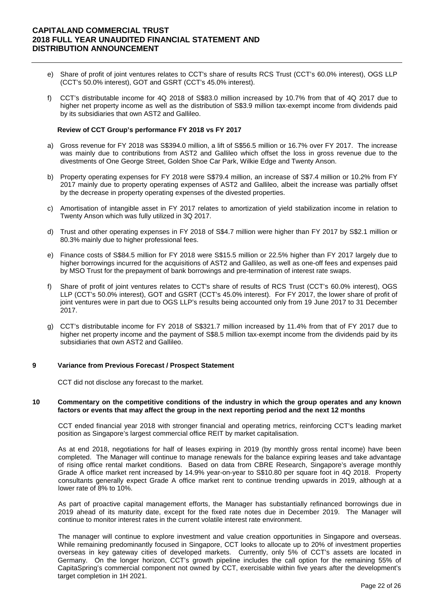- e) Share of profit of joint ventures relates to CCT's share of results RCS Trust (CCT's 60.0% interest), OGS LLP (CCT's 50.0% interest), GOT and GSRT (CCT's 45.0% interest).
- f) CCT's distributable income for 4Q 2018 of S\$83.0 million increased by 10.7% from that of 4Q 2017 due to higher net property income as well as the distribution of S\$3.9 million tax-exempt income from dividends paid by its subsidiaries that own AST2 and Gallileo.

#### **Review of CCT Group's performance FY 2018 vs FY 2017**

- a) Gross revenue for FY 2018 was S\$394.0 million, a lift of S\$56.5 million or 16.7% over FY 2017. The increase was mainly due to contributions from AST2 and Gallileo which offset the loss in gross revenue due to the divestments of One George Street, Golden Shoe Car Park, Wilkie Edge and Twenty Anson.
- b) Property operating expenses for FY 2018 were S\$79.4 million, an increase of S\$7.4 million or 10.2% from FY 2017 mainly due to property operating expenses of AST2 and Gallileo, albeit the increase was partially offset by the decrease in property operating expenses of the divested properties.
- c) Amortisation of intangible asset in FY 2017 relates to amortization of yield stabilization income in relation to Twenty Anson which was fully utilized in 3Q 2017.
- d) Trust and other operating expenses in FY 2018 of S\$4.7 million were higher than FY 2017 by S\$2.1 million or 80.3% mainly due to higher professional fees.
- e) Finance costs of S\$84.5 million for FY 2018 were S\$15.5 million or 22.5% higher than FY 2017 largely due to higher borrowings incurred for the acquisitions of AST2 and Gallileo, as well as one-off fees and expenses paid by MSO Trust for the prepayment of bank borrowings and pre-termination of interest rate swaps.
- f) Share of profit of joint ventures relates to CCT's share of results of RCS Trust (CCT's 60.0% interest), OGS LLP (CCT's 50.0% interest), GOT and GSRT (CCT's 45.0% interest). For FY 2017, the lower share of profit of joint ventures were in part due to OGS LLP's results being accounted only from 19 June 2017 to 31 December 2017.
- g) CCT's distributable income for FY 2018 of S\$321.7 million increased by 11.4% from that of FY 2017 due to higher net property income and the payment of S\$8.5 million tax-exempt income from the dividends paid by its subsidiaries that own AST2 and Gallileo.

#### **9 Variance from Previous Forecast / Prospect Statement**

CCT did not disclose any forecast to the market.

#### **10 Commentary on the competitive conditions of the industry in which the group operates and any known factors or events that may affect the group in the next reporting period and the next 12 months**

CCT ended financial year 2018 with stronger financial and operating metrics, reinforcing CCT's leading market position as Singapore's largest commercial office REIT by market capitalisation.

As at end 2018, negotiations for half of leases expiring in 2019 (by monthly gross rental income) have been completed. The Manager will continue to manage renewals for the balance expiring leases and take advantage of rising office rental market conditions. Based on data from CBRE Research, Singapore's average monthly Grade A office market rent increased by 14.9% year-on-year to S\$10.80 per square foot in 4Q 2018. Property consultants generally expect Grade A office market rent to continue trending upwards in 2019, although at a lower rate of 8% to 10%.

As part of proactive capital management efforts, the Manager has substantially refinanced borrowings due in 2019 ahead of its maturity date, except for the fixed rate notes due in December 2019. The Manager will continue to monitor interest rates in the current volatile interest rate environment.

The manager will continue to explore investment and value creation opportunities in Singapore and overseas. While remaining predominantly focused in Singapore, CCT looks to allocate up to 20% of investment properties overseas in key gateway cities of developed markets. Currently, only 5% of CCT's assets are located in Germany. On the longer horizon, CCT's growth pipeline includes the call option for the remaining 55% of CapitaSpring's commercial component not owned by CCT, exercisable within five years after the development's target completion in 1H 2021.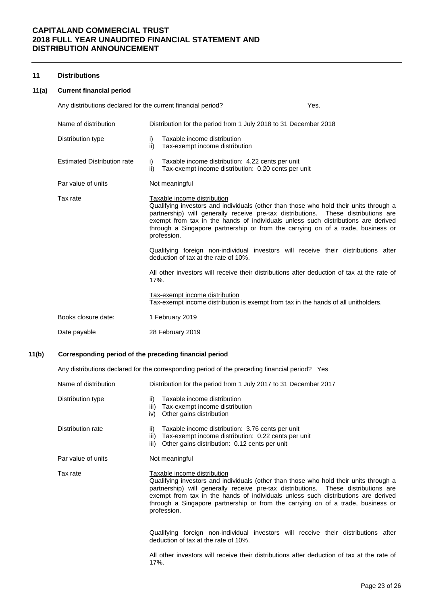### **11 Distributions**

#### **11(a) Current financial period**

| Any distributions declared for the current financial period? |                                                                                                                                                                                                                                                                                                                                                                                                                                                                                                                                                                                                                                                                            |                                                                                                         | Yes. |  |  |  |  |
|--------------------------------------------------------------|----------------------------------------------------------------------------------------------------------------------------------------------------------------------------------------------------------------------------------------------------------------------------------------------------------------------------------------------------------------------------------------------------------------------------------------------------------------------------------------------------------------------------------------------------------------------------------------------------------------------------------------------------------------------------|---------------------------------------------------------------------------------------------------------|------|--|--|--|--|
| Name of distribution                                         |                                                                                                                                                                                                                                                                                                                                                                                                                                                                                                                                                                                                                                                                            | Distribution for the period from 1 July 2018 to 31 December 2018                                        |      |  |  |  |  |
| Distribution type                                            | i)<br>ii)                                                                                                                                                                                                                                                                                                                                                                                                                                                                                                                                                                                                                                                                  | Taxable income distribution<br>Tax-exempt income distribution                                           |      |  |  |  |  |
| <b>Estimated Distribution rate</b>                           | i)<br>ii)                                                                                                                                                                                                                                                                                                                                                                                                                                                                                                                                                                                                                                                                  | Taxable income distribution: 4.22 cents per unit<br>Tax-exempt income distribution: 0.20 cents per unit |      |  |  |  |  |
| Par value of units                                           |                                                                                                                                                                                                                                                                                                                                                                                                                                                                                                                                                                                                                                                                            | Not meaningful                                                                                          |      |  |  |  |  |
| Tax rate                                                     | Taxable income distribution<br>Qualifying investors and individuals (other than those who hold their units through a<br>partnership) will generally receive pre-tax distributions. These distributions are<br>exempt from tax in the hands of individuals unless such distributions are derived<br>through a Singapore partnership or from the carrying on of a trade, business or<br>profession.<br>Qualifying foreign non-individual investors will receive their distributions after<br>deduction of tax at the rate of 10%.<br>All other investors will receive their distributions after deduction of tax at the rate of<br>$17%$ .<br>Tax-exempt income distribution |                                                                                                         |      |  |  |  |  |
| Books closure date:                                          |                                                                                                                                                                                                                                                                                                                                                                                                                                                                                                                                                                                                                                                                            | Tax-exempt income distribution is exempt from tax in the hands of all unitholders.<br>1 February 2019   |      |  |  |  |  |
| Date payable                                                 |                                                                                                                                                                                                                                                                                                                                                                                                                                                                                                                                                                                                                                                                            | 28 February 2019                                                                                        |      |  |  |  |  |
|                                                              |                                                                                                                                                                                                                                                                                                                                                                                                                                                                                                                                                                                                                                                                            |                                                                                                         |      |  |  |  |  |

### **11(b) Corresponding period of the preceding financial period**

Any distributions declared for the corresponding period of the preceding financial period? Yes

| Name of distribution | Distribution for the period from 1 July 2017 to 31 December 2017                                                                                                                                                                                                                                                                                                                                  |  |  |  |  |  |
|----------------------|---------------------------------------------------------------------------------------------------------------------------------------------------------------------------------------------------------------------------------------------------------------------------------------------------------------------------------------------------------------------------------------------------|--|--|--|--|--|
| Distribution type    | Taxable income distribution<br>ii)<br>Tax-exempt income distribution<br>iii)<br>Other gains distribution<br>iv)                                                                                                                                                                                                                                                                                   |  |  |  |  |  |
| Distribution rate    | Taxable income distribution: 3.76 cents per unit<br>ii)<br>Tax-exempt income distribution: 0.22 cents per unit<br>iii)<br>Other gains distribution: 0.12 cents per unit<br>iii)                                                                                                                                                                                                                   |  |  |  |  |  |
| Par value of units   | Not meaningful                                                                                                                                                                                                                                                                                                                                                                                    |  |  |  |  |  |
| Tax rate             | Taxable income distribution<br>Qualifying investors and individuals (other than those who hold their units through a<br>partnership) will generally receive pre-tax distributions. These distributions are<br>exempt from tax in the hands of individuals unless such distributions are derived<br>through a Singapore partnership or from the carrying on of a trade, business or<br>profession. |  |  |  |  |  |
|                      | Qualifying foreign non-individual investors will receive their distributions after<br>deduction of tax at the rate of 10%.                                                                                                                                                                                                                                                                        |  |  |  |  |  |
|                      | All other investors will receive their distributions after deduction of tax at the rate of<br>17%.                                                                                                                                                                                                                                                                                                |  |  |  |  |  |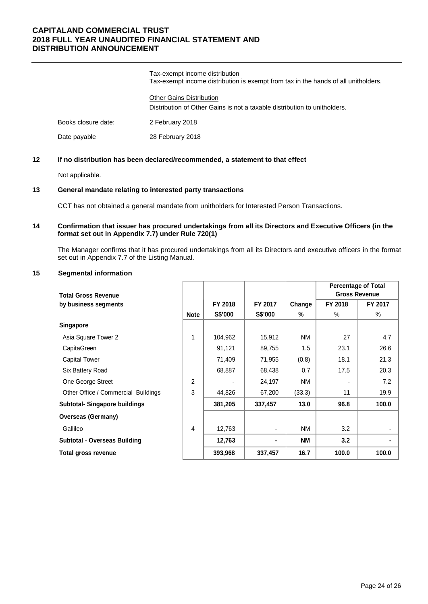Tax-exempt income distribution Tax-exempt income distribution is exempt from tax in the hands of all unitholders.

Other Gains Distribution Distribution of Other Gains is not a taxable distribution to unitholders.

Books closure date: 2 February 2018

Date payable 28 February 2018

### **12 If no distribution has been declared/recommended, a statement to that effect**

Not applicable.

### **13 General mandate relating to interested party transactions**

CCT has not obtained a general mandate from unitholders for Interested Person Transactions.

### **14 Confirmation that issuer has procured undertakings from all its Directors and Executive Officers (in the format set out in Appendix 7.7) under Rule 720(1)**

The Manager confirms that it has procured undertakings from all its Directors and executive officers in the format set out in Appendix 7.7 of the Listing Manual.

### **15 Segmental information**

|                                      |             |         |                |           | <b>Percentage of Total</b><br><b>Gross Revenue</b> |         |
|--------------------------------------|-------------|---------|----------------|-----------|----------------------------------------------------|---------|
| <b>Total Gross Revenue</b>           |             |         |                |           |                                                    |         |
| by business segments                 |             | FY 2018 | FY 2017        | Change    | FY 2018                                            | FY 2017 |
|                                      | <b>Note</b> | S\$'000 | <b>S\$'000</b> | %         | $\%$                                               | $\%$    |
| <b>Singapore</b>                     |             |         |                |           |                                                    |         |
| Asia Square Tower 2                  | 1           | 104,962 | 15,912         | NM        | 27                                                 | 4.7     |
| CapitaGreen                          |             | 91,121  | 89,755         | 1.5       | 23.1                                               | 26.6    |
| <b>Capital Tower</b>                 |             | 71,409  | 71,955         | (0.8)     | 18.1                                               | 21.3    |
| Six Battery Road                     |             | 68,887  | 68,438         | 0.7       | 17.5                                               | 20.3    |
| One George Street                    | 2           |         | 24,197         | NM        |                                                    | 7.2     |
| Other Office / Commercial Buildings  | 3           | 44,826  | 67,200         | (33.3)    | 11                                                 | 19.9    |
| <b>Subtotal- Singapore buildings</b> |             | 381,205 | 337,457        | 13.0      | 96.8                                               | 100.0   |
| <b>Overseas (Germany)</b>            |             |         |                |           |                                                    |         |
| Gallileo                             | 4           | 12,763  | $\blacksquare$ | NM        | 3.2                                                |         |
| <b>Subtotal - Overseas Building</b>  |             | 12,763  | ۰.             | <b>NM</b> | 3.2                                                |         |
| Total gross revenue                  |             | 393,968 | 337,457        | 16.7      | 100.0                                              | 100.0   |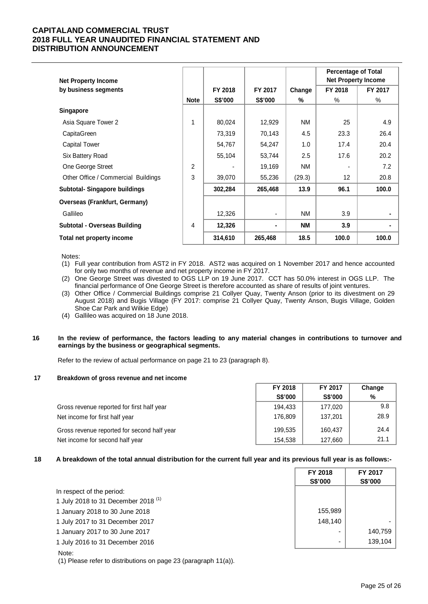| <b>Net Property Income</b>           |             |         |         |           | <b>Percentage of Total</b><br><b>Net Property Income</b> |         |
|--------------------------------------|-------------|---------|---------|-----------|----------------------------------------------------------|---------|
| by business segments                 |             | FY 2018 | FY 2017 | Change    | FY 2018                                                  | FY 2017 |
|                                      | <b>Note</b> | S\$'000 | S\$'000 | %         | $\%$                                                     | $\%$    |
| <b>Singapore</b>                     |             |         |         |           |                                                          |         |
| Asia Square Tower 2                  | 1           | 80,024  | 12,929  | <b>NM</b> | 25                                                       | 4.9     |
| CapitaGreen                          |             | 73,319  | 70,143  | 4.5       | 23.3                                                     | 26.4    |
| <b>Capital Tower</b>                 |             | 54,767  | 54,247  | 1.0       | 17.4                                                     | 20.4    |
| Six Battery Road                     |             | 55,104  | 53,744  | 2.5       | 17.6                                                     | 20.2    |
| One George Street                    | 2           |         | 19,169  | NM        |                                                          | 7.2     |
| Other Office / Commercial Buildings  | 3           | 39,070  | 55,236  | (29.3)    | 12 <sup>2</sup>                                          | 20.8    |
| <b>Subtotal-Singapore buildings</b>  |             | 302,284 | 265,468 | 13.9      | 96.1                                                     | 100.0   |
| <b>Overseas (Frankfurt, Germany)</b> |             |         |         |           |                                                          |         |
| Gallileo                             |             | 12,326  |         | <b>NM</b> | 3.9                                                      |         |
| <b>Subtotal - Overseas Building</b>  | 4           | 12,326  |         | <b>NM</b> | 3.9                                                      |         |
| Total net property income            |             | 314,610 | 265,468 | 18.5      | 100.0                                                    | 100.0   |

Notes:

- (1) Full year contribution from AST2 in FY 2018. AST2 was acquired on 1 November 2017 and hence accounted for only two months of revenue and net property income in FY 2017.
- (2) One George Street was divested to OGS LLP on 19 June 2017. CCT has 50.0% interest in OGS LLP. The financial performance of One George Street is therefore accounted as share of results of joint ventures.
- (3) Other Office / Commercial Buildings comprise 21 Collyer Quay, Twenty Anson (prior to its divestment on 29 August 2018) and Bugis Village (FY 2017: comprise 21 Collyer Quay, Twenty Anson, Bugis Village, Golden Shoe Car Park and Wilkie Edge)
- (4) Gallileo was acquired on 18 June 2018.
- **16 In the review of performance, the factors leading to any material changes in contributions to turnover and earnings by the business or geographical segments.**

Refer to the review of actual performance on page 21 to 23 (paragraph 8).

### **17 Breakdown of gross revenue and net income**

|                                             | FY 2018 | <b>FY 2017</b> | Change |
|---------------------------------------------|---------|----------------|--------|
|                                             | S\$'000 | S\$'000        | %      |
| Gross revenue reported for first half year  | 194.433 | 177.020        | 9.8    |
| Net income for first half year              | 176.809 | 137.201        | 28.9   |
| Gross revenue reported for second half year | 199,535 | 160.437        | 24.4   |
| Net income for second half year             | 154,538 | 127,660        | 21.1   |

#### **18 A breakdown of the total annual distribution for the current full year and its previous full year is as follows:-**

|                                                | FY 2018                  | FY 2017 |
|------------------------------------------------|--------------------------|---------|
|                                                | S\$'000                  | S\$'000 |
| In respect of the period:                      |                          |         |
| 1 July 2018 to 31 December 2018 <sup>(1)</sup> |                          |         |
| 1 January 2018 to 30 June 2018                 | 155,989                  |         |
| 1 July 2017 to 31 December 2017                | 148.140                  |         |
| 1 January 2017 to 30 June 2017                 |                          | 140.759 |
| 1 July 2016 to 31 December 2016                | $\overline{\phantom{0}}$ | 139,104 |
| Note:                                          |                          |         |

(1) Please refer to distributions on page 23 (paragraph 11(a)).